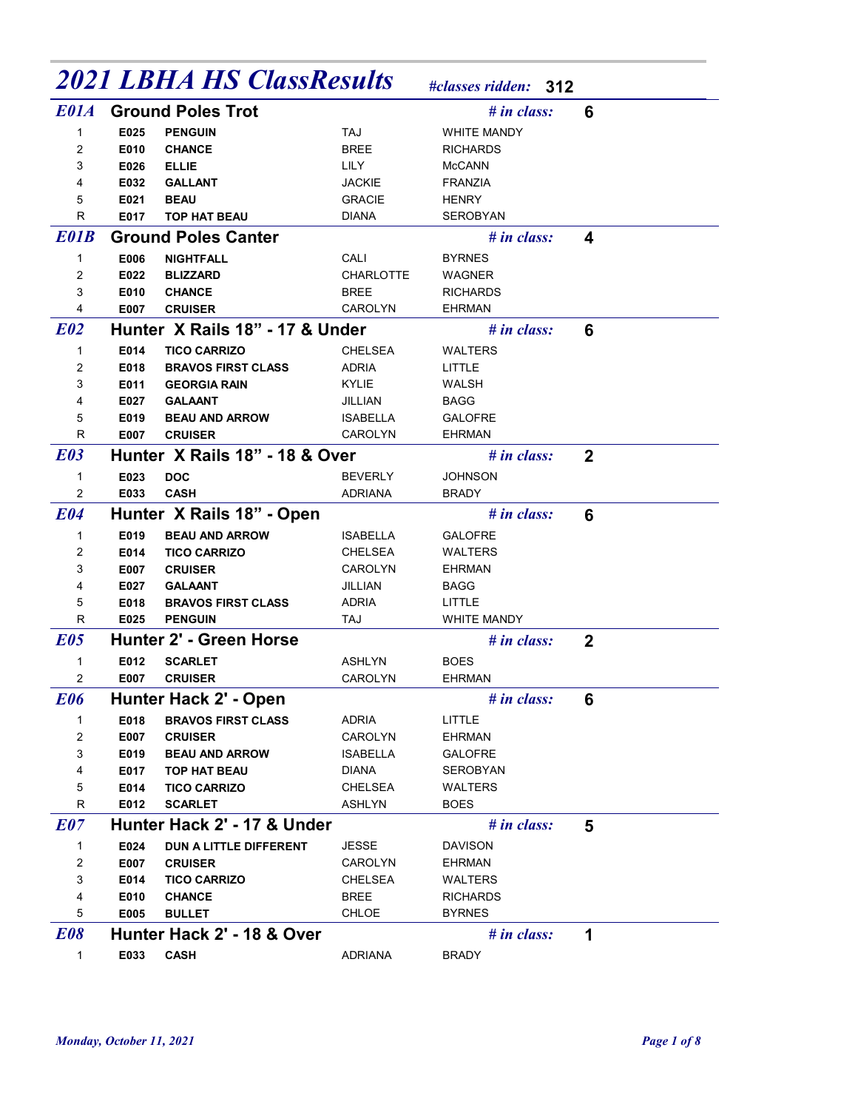| <b>E01A</b><br>$\mathbf{1}$<br>$\overline{2}$<br>3<br>4<br>5<br>${\sf R}$<br>E01B<br>$\mathbf{1}$<br>$\overline{c}$<br>3<br>4<br>E02<br>$\mathbf{1}$<br>$\overline{c}$<br>3<br>4<br>5<br>${\sf R}$<br>E03<br>$\mathbf{1}$<br>$\overline{2}$<br><b>E04</b><br>$\mathbf{1}$<br>$\overline{c}$<br>3<br>4<br>5<br>R<br>E05<br>$\mathbf{1}$<br>$\overline{2}$<br><b>E06</b><br>$\mathbf{1}$<br>$\overline{\mathbf{c}}$<br>3<br>4<br>5<br>R<br>E07<br>$\mathbf{1}$<br>2<br>3<br>4 | E025<br>E010<br>E026<br>E032<br>E021<br>E017<br>E006<br>E022<br>E010<br>E007<br>E014<br>E018<br>E011 | <b>Ground Poles Trot</b><br><b>PENGUIN</b><br><b>CHANCE</b><br><b>ELLIE</b><br><b>GALLANT</b><br><b>BEAU</b><br><b>TOP HAT BEAU</b><br><b>Ground Poles Canter</b><br><b>NIGHTFALL</b><br><b>BLIZZARD</b><br><b>CHANCE</b><br><b>CRUISER</b><br>Hunter X Rails 18" - 17 & Under<br><b>TICO CARRIZO</b> | TAJ<br><b>BREE</b><br><b>LILY</b><br><b>JACKIE</b><br><b>GRACIE</b><br><b>DIANA</b><br>CALI<br>CHARLOTTE<br><b>BREE</b> | $#$ in class:<br><b>WHITE MANDY</b><br><b>RICHARDS</b><br><b>McCANN</b><br><b>FRANZIA</b><br><b>HENRY</b><br>SEROBYAN<br>$#$ in class:<br><b>BYRNES</b> | 6<br>4       |             |
|-----------------------------------------------------------------------------------------------------------------------------------------------------------------------------------------------------------------------------------------------------------------------------------------------------------------------------------------------------------------------------------------------------------------------------------------------------------------------------|------------------------------------------------------------------------------------------------------|-------------------------------------------------------------------------------------------------------------------------------------------------------------------------------------------------------------------------------------------------------------------------------------------------------|-------------------------------------------------------------------------------------------------------------------------|---------------------------------------------------------------------------------------------------------------------------------------------------------|--------------|-------------|
|                                                                                                                                                                                                                                                                                                                                                                                                                                                                             |                                                                                                      |                                                                                                                                                                                                                                                                                                       |                                                                                                                         |                                                                                                                                                         |              |             |
|                                                                                                                                                                                                                                                                                                                                                                                                                                                                             |                                                                                                      |                                                                                                                                                                                                                                                                                                       |                                                                                                                         |                                                                                                                                                         |              |             |
|                                                                                                                                                                                                                                                                                                                                                                                                                                                                             |                                                                                                      |                                                                                                                                                                                                                                                                                                       |                                                                                                                         |                                                                                                                                                         |              |             |
|                                                                                                                                                                                                                                                                                                                                                                                                                                                                             |                                                                                                      |                                                                                                                                                                                                                                                                                                       |                                                                                                                         |                                                                                                                                                         |              |             |
|                                                                                                                                                                                                                                                                                                                                                                                                                                                                             |                                                                                                      |                                                                                                                                                                                                                                                                                                       |                                                                                                                         |                                                                                                                                                         |              |             |
|                                                                                                                                                                                                                                                                                                                                                                                                                                                                             |                                                                                                      |                                                                                                                                                                                                                                                                                                       |                                                                                                                         |                                                                                                                                                         |              |             |
|                                                                                                                                                                                                                                                                                                                                                                                                                                                                             |                                                                                                      |                                                                                                                                                                                                                                                                                                       |                                                                                                                         |                                                                                                                                                         |              |             |
|                                                                                                                                                                                                                                                                                                                                                                                                                                                                             |                                                                                                      |                                                                                                                                                                                                                                                                                                       |                                                                                                                         |                                                                                                                                                         |              |             |
|                                                                                                                                                                                                                                                                                                                                                                                                                                                                             |                                                                                                      |                                                                                                                                                                                                                                                                                                       |                                                                                                                         |                                                                                                                                                         |              |             |
|                                                                                                                                                                                                                                                                                                                                                                                                                                                                             |                                                                                                      |                                                                                                                                                                                                                                                                                                       |                                                                                                                         | WAGNER                                                                                                                                                  |              |             |
|                                                                                                                                                                                                                                                                                                                                                                                                                                                                             |                                                                                                      |                                                                                                                                                                                                                                                                                                       |                                                                                                                         | <b>RICHARDS</b>                                                                                                                                         |              |             |
|                                                                                                                                                                                                                                                                                                                                                                                                                                                                             |                                                                                                      |                                                                                                                                                                                                                                                                                                       | CAROLYN                                                                                                                 | <b>EHRMAN</b>                                                                                                                                           |              |             |
|                                                                                                                                                                                                                                                                                                                                                                                                                                                                             |                                                                                                      |                                                                                                                                                                                                                                                                                                       |                                                                                                                         | $#$ in class:                                                                                                                                           | 6            |             |
|                                                                                                                                                                                                                                                                                                                                                                                                                                                                             |                                                                                                      |                                                                                                                                                                                                                                                                                                       | <b>CHELSEA</b>                                                                                                          | WALTERS                                                                                                                                                 |              |             |
|                                                                                                                                                                                                                                                                                                                                                                                                                                                                             |                                                                                                      | <b>BRAVOS FIRST CLASS</b>                                                                                                                                                                                                                                                                             | <b>ADRIA</b>                                                                                                            | LITTLE                                                                                                                                                  |              |             |
|                                                                                                                                                                                                                                                                                                                                                                                                                                                                             |                                                                                                      | <b>GEORGIA RAIN</b>                                                                                                                                                                                                                                                                                   | KYLIE                                                                                                                   | WALSH                                                                                                                                                   |              |             |
|                                                                                                                                                                                                                                                                                                                                                                                                                                                                             | E027                                                                                                 | <b>GALAANT</b>                                                                                                                                                                                                                                                                                        | JILLIAN                                                                                                                 | <b>BAGG</b>                                                                                                                                             |              |             |
|                                                                                                                                                                                                                                                                                                                                                                                                                                                                             | E019                                                                                                 | <b>BEAU AND ARROW</b>                                                                                                                                                                                                                                                                                 | <b>ISABELLA</b>                                                                                                         | <b>GALOFRE</b>                                                                                                                                          |              |             |
|                                                                                                                                                                                                                                                                                                                                                                                                                                                                             | E007                                                                                                 | <b>CRUISER</b>                                                                                                                                                                                                                                                                                        | CAROLYN                                                                                                                 | <b>EHRMAN</b>                                                                                                                                           |              |             |
|                                                                                                                                                                                                                                                                                                                                                                                                                                                                             |                                                                                                      | Hunter X Rails 18" - 18 & Over                                                                                                                                                                                                                                                                        |                                                                                                                         | $#$ in class:                                                                                                                                           | $\mathbf{2}$ |             |
|                                                                                                                                                                                                                                                                                                                                                                                                                                                                             | E023<br>E033                                                                                         | <b>DOC</b><br><b>CASH</b>                                                                                                                                                                                                                                                                             | <b>BEVERLY</b><br><b>ADRIANA</b>                                                                                        | <b>JOHNSON</b><br><b>BRADY</b>                                                                                                                          |              |             |
|                                                                                                                                                                                                                                                                                                                                                                                                                                                                             |                                                                                                      | Hunter X Rails 18" - Open                                                                                                                                                                                                                                                                             |                                                                                                                         | $#$ in class:                                                                                                                                           | 6            |             |
|                                                                                                                                                                                                                                                                                                                                                                                                                                                                             | E019                                                                                                 | <b>BEAU AND ARROW</b>                                                                                                                                                                                                                                                                                 | <b>ISABELLA</b>                                                                                                         | <b>GALOFRE</b>                                                                                                                                          |              |             |
|                                                                                                                                                                                                                                                                                                                                                                                                                                                                             | E014                                                                                                 | <b>TICO CARRIZO</b>                                                                                                                                                                                                                                                                                   | <b>CHELSEA</b>                                                                                                          | WALTERS                                                                                                                                                 |              |             |
|                                                                                                                                                                                                                                                                                                                                                                                                                                                                             | E007                                                                                                 | <b>CRUISER</b>                                                                                                                                                                                                                                                                                        | CAROLYN                                                                                                                 | <b>EHRMAN</b>                                                                                                                                           |              |             |
|                                                                                                                                                                                                                                                                                                                                                                                                                                                                             | E027                                                                                                 | <b>GALAANT</b>                                                                                                                                                                                                                                                                                        | JILLIAN                                                                                                                 | <b>BAGG</b>                                                                                                                                             |              |             |
|                                                                                                                                                                                                                                                                                                                                                                                                                                                                             | E018                                                                                                 | <b>BRAVOS FIRST CLASS</b>                                                                                                                                                                                                                                                                             | <b>ADRIA</b>                                                                                                            | LITTLE                                                                                                                                                  |              |             |
|                                                                                                                                                                                                                                                                                                                                                                                                                                                                             | E025                                                                                                 | <b>PENGUIN</b>                                                                                                                                                                                                                                                                                        | TAJ                                                                                                                     | <b>WHITE MANDY</b>                                                                                                                                      |              |             |
|                                                                                                                                                                                                                                                                                                                                                                                                                                                                             |                                                                                                      | <b>Hunter 2' - Green Horse</b>                                                                                                                                                                                                                                                                        |                                                                                                                         | $#$ in class:                                                                                                                                           | $\mathbf{2}$ |             |
|                                                                                                                                                                                                                                                                                                                                                                                                                                                                             | E012                                                                                                 | <b>SCARLET</b>                                                                                                                                                                                                                                                                                        | <b>ASHLYN</b>                                                                                                           | <b>BOES</b>                                                                                                                                             |              |             |
|                                                                                                                                                                                                                                                                                                                                                                                                                                                                             | E007                                                                                                 | <b>CRUISER</b>                                                                                                                                                                                                                                                                                        | CAROLYN                                                                                                                 | <b>EHRMAN</b>                                                                                                                                           |              |             |
|                                                                                                                                                                                                                                                                                                                                                                                                                                                                             |                                                                                                      | Hunter Hack 2' - Open                                                                                                                                                                                                                                                                                 |                                                                                                                         | $#$ in class:                                                                                                                                           | 6            |             |
|                                                                                                                                                                                                                                                                                                                                                                                                                                                                             | E018                                                                                                 | <b>BRAVOS FIRST CLASS</b>                                                                                                                                                                                                                                                                             | <b>ADRIA</b>                                                                                                            | <b>LITTLE</b>                                                                                                                                           |              |             |
|                                                                                                                                                                                                                                                                                                                                                                                                                                                                             | E007                                                                                                 | <b>CRUISER</b>                                                                                                                                                                                                                                                                                        | CAROLYN                                                                                                                 | EHRMAN                                                                                                                                                  |              |             |
|                                                                                                                                                                                                                                                                                                                                                                                                                                                                             | E019                                                                                                 | <b>BEAU AND ARROW</b>                                                                                                                                                                                                                                                                                 | <b>ISABELLA</b>                                                                                                         | GALOFRE                                                                                                                                                 |              |             |
|                                                                                                                                                                                                                                                                                                                                                                                                                                                                             | E017                                                                                                 | <b>TOP HAT BEAU</b>                                                                                                                                                                                                                                                                                   | <b>DIANA</b>                                                                                                            | SEROBYAN                                                                                                                                                |              |             |
|                                                                                                                                                                                                                                                                                                                                                                                                                                                                             | E014                                                                                                 | <b>TICO CARRIZO</b>                                                                                                                                                                                                                                                                                   | CHELSEA                                                                                                                 | WALTERS                                                                                                                                                 |              |             |
|                                                                                                                                                                                                                                                                                                                                                                                                                                                                             | E012                                                                                                 | <b>SCARLET</b>                                                                                                                                                                                                                                                                                        | <b>ASHLYN</b>                                                                                                           | <b>BOES</b>                                                                                                                                             |              |             |
|                                                                                                                                                                                                                                                                                                                                                                                                                                                                             |                                                                                                      | Hunter Hack 2' - 17 & Under                                                                                                                                                                                                                                                                           |                                                                                                                         | $#$ in class:                                                                                                                                           | 5            |             |
|                                                                                                                                                                                                                                                                                                                                                                                                                                                                             | E024                                                                                                 | DUN A LITTLE DIFFERENT                                                                                                                                                                                                                                                                                | JESSE                                                                                                                   | <b>DAVISON</b>                                                                                                                                          |              |             |
|                                                                                                                                                                                                                                                                                                                                                                                                                                                                             | E007                                                                                                 | <b>CRUISER</b>                                                                                                                                                                                                                                                                                        | CAROLYN                                                                                                                 | <b>EHRMAN</b>                                                                                                                                           |              |             |
|                                                                                                                                                                                                                                                                                                                                                                                                                                                                             | E014                                                                                                 | <b>TICO CARRIZO</b>                                                                                                                                                                                                                                                                                   | CHELSEA                                                                                                                 | WALTERS                                                                                                                                                 |              |             |
| 5                                                                                                                                                                                                                                                                                                                                                                                                                                                                           | E010<br>E005                                                                                         | <b>CHANCE</b><br><b>BULLET</b>                                                                                                                                                                                                                                                                        | <b>BREE</b><br>CHLOE                                                                                                    | <b>RICHARDS</b><br><b>BYRNES</b>                                                                                                                        |              |             |
| <b>E08</b>                                                                                                                                                                                                                                                                                                                                                                                                                                                                  |                                                                                                      | Hunter Hack 2' - 18 & Over                                                                                                                                                                                                                                                                            |                                                                                                                         | $#$ in class:                                                                                                                                           | 1            |             |
| $\mathbf{1}$                                                                                                                                                                                                                                                                                                                                                                                                                                                                | E033                                                                                                 | <b>CASH</b>                                                                                                                                                                                                                                                                                           | <b>ADRIANA</b>                                                                                                          | <b>BRADY</b>                                                                                                                                            |              |             |
|                                                                                                                                                                                                                                                                                                                                                                                                                                                                             |                                                                                                      |                                                                                                                                                                                                                                                                                                       |                                                                                                                         |                                                                                                                                                         |              |             |
| Monday, October 11, 2021                                                                                                                                                                                                                                                                                                                                                                                                                                                    |                                                                                                      |                                                                                                                                                                                                                                                                                                       |                                                                                                                         |                                                                                                                                                         |              | Page 1 of 8 |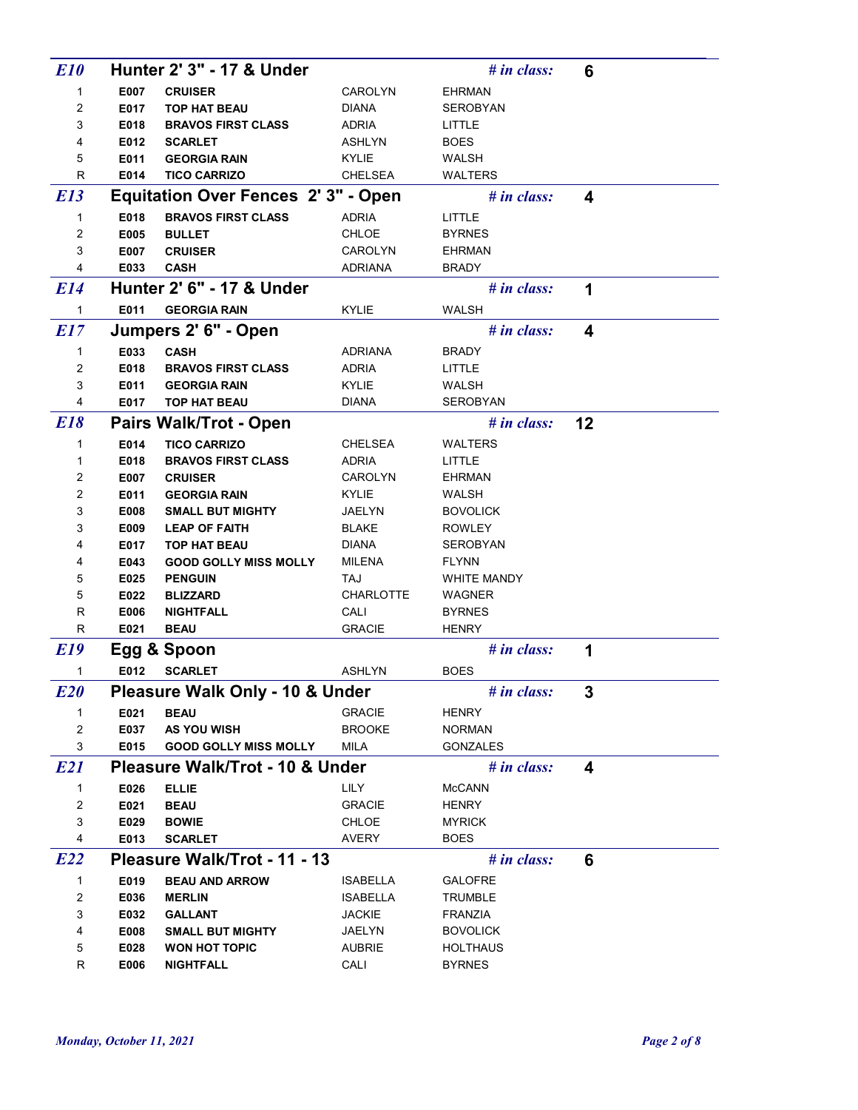| <b>CRUISER</b><br>CAROLYN<br>E007<br><b>EHRMAN</b><br>1<br>2<br><b>TOP HAT BEAU</b><br>E017<br><b>DIANA</b><br>SEROBYAN<br>3<br><b>ADRIA</b><br>LITTLE<br>E018<br><b>BRAVOS FIRST CLASS</b><br><b>BOES</b><br>4<br><b>ASHLYN</b><br>E012<br><b>SCARLET</b><br>WALSH<br>5<br>KYLIE<br>E011<br><b>GEORGIA RAIN</b><br>${\sf R}$<br>CHELSEA<br>WALTERS<br>E014<br><b>TICO CARRIZO</b><br><b>Equitation Over Fences 2' 3" - Open</b><br><b>E13</b><br>$#$ in class:<br>4<br>ADRIA<br>LITTLE<br><b>BRAVOS FIRST CLASS</b><br>$\mathbf{1}$<br>E018<br>$\overline{\mathbf{c}}$<br>CHLOE<br><b>BYRNES</b><br>E005<br><b>BULLET</b><br>$\ensuremath{\mathsf{3}}$<br><b>CRUISER</b><br>CAROLYN<br>EHRMAN<br>E007<br>4<br><b>ADRIANA</b><br><b>BRADY</b><br><b>CASH</b><br>E033<br>E14<br>Hunter 2' 6" - 17 & Under<br>$#$ in class:<br>1<br>KYLIE<br>WALSH<br><b>GEORGIA RAIN</b><br>$\overline{1}$<br>E011<br><b>E17</b><br>Jumpers 2' 6" - Open<br>$#$ in class:<br>4<br>E033<br><b>CASH</b><br>ADRIANA<br><b>BRADY</b><br>$\mathbf{1}$<br>2<br>E018<br><b>BRAVOS FIRST CLASS</b><br><b>ADRIA</b><br>LITTLE<br>3<br>KYLIE<br>E011<br><b>GEORGIA RAIN</b><br>WALSH<br>4<br>E017<br><b>TOP HAT BEAU</b><br><b>DIANA</b><br>SEROBYAN<br><b>E18</b><br><b>Pairs Walk/Trot - Open</b><br>$#$ in class:<br>12<br><b>TICO CARRIZO</b><br>CHELSEA<br>E014<br>WALTERS<br>-1<br>E018<br><b>BRAVOS FIRST CLASS</b><br>LITTLE<br><b>ADRIA</b><br>$\mathbf{1}$<br>2<br><b>CRUISER</b><br>CAROLYN<br><b>EHRMAN</b><br>E007<br>2<br>KYLIE<br>WALSH<br>E011<br><b>GEORGIA RAIN</b><br>3<br>JAELYN<br><b>BOVOLICK</b><br>E008<br><b>SMALL BUT MIGHTY</b><br>3<br><b>BLAKE</b><br>ROWLEY<br>E009<br><b>LEAP OF FAITH</b><br>4<br><b>DIANA</b><br><b>SEROBYAN</b><br>E017<br><b>TOP HAT BEAU</b><br>MILENA<br><b>FLYNN</b><br>4<br>E043<br><b>GOOD GOLLY MISS MOLLY</b><br><b>WHITE MANDY</b><br>5<br>E025<br><b>PENGUIN</b><br>TAJ<br>5<br>CHARLOTTE<br>WAGNER<br>E022<br><b>BLIZZARD</b><br>R<br><b>BYRNES</b><br>E006<br><b>NIGHTFALL</b><br>CALI<br>${\sf R}$<br><b>GRACIE</b><br>E021<br><b>BEAU</b><br><b>HENRY</b><br>E19<br>Egg & Spoon<br>$#$ in class:<br>1<br><b>ASHLYN</b><br>E012<br><b>SCARLET</b><br><b>BOES</b><br>$\mathbf{1}$<br>E20<br>Pleasure Walk Only - 10 & Under<br>$#$ in class:<br>3<br><b>BEAU</b><br><b>GRACIE</b><br>E021<br><b>HENRY</b><br>-1<br>E037<br>AS YOU WISH<br><b>BROOKE</b><br>2<br><b>NORMAN</b><br>3<br><b>GOOD GOLLY MISS MOLLY</b><br>GONZALES<br>E015<br>MILA<br>E21<br><b>Pleasure Walk/Trot - 10 &amp; Under</b><br>$#$ in class:<br>4<br><b>ELLIE</b><br><b>LILY</b><br><b>McCANN</b><br>E026<br>$\mathbf{1}$<br><b>GRACIE</b><br>2<br>E021<br><b>BEAU</b><br><b>HENRY</b><br>3<br>E029<br><b>BOWIE</b><br>CHLOE<br><b>MYRICK</b><br>4<br><b>AVERY</b><br><b>BOES</b><br>E013<br><b>SCARLET</b><br>E22<br>Pleasure Walk/Trot - 11 - 13<br>$#$ in class:<br>6<br><b>BEAU AND ARROW</b><br><b>GALOFRE</b><br>E019<br><b>ISABELLA</b><br>$\mathbf{1}$<br><b>MERLIN</b><br><b>ISABELLA</b><br>TRUMBLE<br>2<br>E036<br>3<br><b>GALLANT</b><br><b>JACKIE</b><br><b>FRANZIA</b><br>E032<br>JAELYN<br>4<br>E008<br><b>SMALL BUT MIGHTY</b><br><b>BOVOLICK</b><br>AUBRIE<br><b>HOLTHAUS</b><br>5<br>E028<br><b>WON HOT TOPIC</b><br>R<br>CALI<br><b>NIGHTFALL</b><br><b>BYRNES</b><br>E006 |
|----------------------------------------------------------------------------------------------------------------------------------------------------------------------------------------------------------------------------------------------------------------------------------------------------------------------------------------------------------------------------------------------------------------------------------------------------------------------------------------------------------------------------------------------------------------------------------------------------------------------------------------------------------------------------------------------------------------------------------------------------------------------------------------------------------------------------------------------------------------------------------------------------------------------------------------------------------------------------------------------------------------------------------------------------------------------------------------------------------------------------------------------------------------------------------------------------------------------------------------------------------------------------------------------------------------------------------------------------------------------------------------------------------------------------------------------------------------------------------------------------------------------------------------------------------------------------------------------------------------------------------------------------------------------------------------------------------------------------------------------------------------------------------------------------------------------------------------------------------------------------------------------------------------------------------------------------------------------------------------------------------------------------------------------------------------------------------------------------------------------------------------------------------------------------------------------------------------------------------------------------------------------------------------------------------------------------------------------------------------------------------------------------------------------------------------------------------------------------------------------------------------------------------------------------------------------------------------------------------------------------------------------------------------------------------------------------------------------------------------------------------------------------------------------------------------------------------------------------------------------------------------------------------------------------------------------------------------------------------------------------------------------------------------------------------------------------------------------------------------------------------------------------------------------------------------------------------------------------------------------------------------------------------------------------------|
|                                                                                                                                                                                                                                                                                                                                                                                                                                                                                                                                                                                                                                                                                                                                                                                                                                                                                                                                                                                                                                                                                                                                                                                                                                                                                                                                                                                                                                                                                                                                                                                                                                                                                                                                                                                                                                                                                                                                                                                                                                                                                                                                                                                                                                                                                                                                                                                                                                                                                                                                                                                                                                                                                                                                                                                                                                                                                                                                                                                                                                                                                                                                                                                                                                                                                                          |
|                                                                                                                                                                                                                                                                                                                                                                                                                                                                                                                                                                                                                                                                                                                                                                                                                                                                                                                                                                                                                                                                                                                                                                                                                                                                                                                                                                                                                                                                                                                                                                                                                                                                                                                                                                                                                                                                                                                                                                                                                                                                                                                                                                                                                                                                                                                                                                                                                                                                                                                                                                                                                                                                                                                                                                                                                                                                                                                                                                                                                                                                                                                                                                                                                                                                                                          |
|                                                                                                                                                                                                                                                                                                                                                                                                                                                                                                                                                                                                                                                                                                                                                                                                                                                                                                                                                                                                                                                                                                                                                                                                                                                                                                                                                                                                                                                                                                                                                                                                                                                                                                                                                                                                                                                                                                                                                                                                                                                                                                                                                                                                                                                                                                                                                                                                                                                                                                                                                                                                                                                                                                                                                                                                                                                                                                                                                                                                                                                                                                                                                                                                                                                                                                          |
|                                                                                                                                                                                                                                                                                                                                                                                                                                                                                                                                                                                                                                                                                                                                                                                                                                                                                                                                                                                                                                                                                                                                                                                                                                                                                                                                                                                                                                                                                                                                                                                                                                                                                                                                                                                                                                                                                                                                                                                                                                                                                                                                                                                                                                                                                                                                                                                                                                                                                                                                                                                                                                                                                                                                                                                                                                                                                                                                                                                                                                                                                                                                                                                                                                                                                                          |
|                                                                                                                                                                                                                                                                                                                                                                                                                                                                                                                                                                                                                                                                                                                                                                                                                                                                                                                                                                                                                                                                                                                                                                                                                                                                                                                                                                                                                                                                                                                                                                                                                                                                                                                                                                                                                                                                                                                                                                                                                                                                                                                                                                                                                                                                                                                                                                                                                                                                                                                                                                                                                                                                                                                                                                                                                                                                                                                                                                                                                                                                                                                                                                                                                                                                                                          |
|                                                                                                                                                                                                                                                                                                                                                                                                                                                                                                                                                                                                                                                                                                                                                                                                                                                                                                                                                                                                                                                                                                                                                                                                                                                                                                                                                                                                                                                                                                                                                                                                                                                                                                                                                                                                                                                                                                                                                                                                                                                                                                                                                                                                                                                                                                                                                                                                                                                                                                                                                                                                                                                                                                                                                                                                                                                                                                                                                                                                                                                                                                                                                                                                                                                                                                          |
|                                                                                                                                                                                                                                                                                                                                                                                                                                                                                                                                                                                                                                                                                                                                                                                                                                                                                                                                                                                                                                                                                                                                                                                                                                                                                                                                                                                                                                                                                                                                                                                                                                                                                                                                                                                                                                                                                                                                                                                                                                                                                                                                                                                                                                                                                                                                                                                                                                                                                                                                                                                                                                                                                                                                                                                                                                                                                                                                                                                                                                                                                                                                                                                                                                                                                                          |
|                                                                                                                                                                                                                                                                                                                                                                                                                                                                                                                                                                                                                                                                                                                                                                                                                                                                                                                                                                                                                                                                                                                                                                                                                                                                                                                                                                                                                                                                                                                                                                                                                                                                                                                                                                                                                                                                                                                                                                                                                                                                                                                                                                                                                                                                                                                                                                                                                                                                                                                                                                                                                                                                                                                                                                                                                                                                                                                                                                                                                                                                                                                                                                                                                                                                                                          |
|                                                                                                                                                                                                                                                                                                                                                                                                                                                                                                                                                                                                                                                                                                                                                                                                                                                                                                                                                                                                                                                                                                                                                                                                                                                                                                                                                                                                                                                                                                                                                                                                                                                                                                                                                                                                                                                                                                                                                                                                                                                                                                                                                                                                                                                                                                                                                                                                                                                                                                                                                                                                                                                                                                                                                                                                                                                                                                                                                                                                                                                                                                                                                                                                                                                                                                          |
|                                                                                                                                                                                                                                                                                                                                                                                                                                                                                                                                                                                                                                                                                                                                                                                                                                                                                                                                                                                                                                                                                                                                                                                                                                                                                                                                                                                                                                                                                                                                                                                                                                                                                                                                                                                                                                                                                                                                                                                                                                                                                                                                                                                                                                                                                                                                                                                                                                                                                                                                                                                                                                                                                                                                                                                                                                                                                                                                                                                                                                                                                                                                                                                                                                                                                                          |
|                                                                                                                                                                                                                                                                                                                                                                                                                                                                                                                                                                                                                                                                                                                                                                                                                                                                                                                                                                                                                                                                                                                                                                                                                                                                                                                                                                                                                                                                                                                                                                                                                                                                                                                                                                                                                                                                                                                                                                                                                                                                                                                                                                                                                                                                                                                                                                                                                                                                                                                                                                                                                                                                                                                                                                                                                                                                                                                                                                                                                                                                                                                                                                                                                                                                                                          |
|                                                                                                                                                                                                                                                                                                                                                                                                                                                                                                                                                                                                                                                                                                                                                                                                                                                                                                                                                                                                                                                                                                                                                                                                                                                                                                                                                                                                                                                                                                                                                                                                                                                                                                                                                                                                                                                                                                                                                                                                                                                                                                                                                                                                                                                                                                                                                                                                                                                                                                                                                                                                                                                                                                                                                                                                                                                                                                                                                                                                                                                                                                                                                                                                                                                                                                          |
|                                                                                                                                                                                                                                                                                                                                                                                                                                                                                                                                                                                                                                                                                                                                                                                                                                                                                                                                                                                                                                                                                                                                                                                                                                                                                                                                                                                                                                                                                                                                                                                                                                                                                                                                                                                                                                                                                                                                                                                                                                                                                                                                                                                                                                                                                                                                                                                                                                                                                                                                                                                                                                                                                                                                                                                                                                                                                                                                                                                                                                                                                                                                                                                                                                                                                                          |
|                                                                                                                                                                                                                                                                                                                                                                                                                                                                                                                                                                                                                                                                                                                                                                                                                                                                                                                                                                                                                                                                                                                                                                                                                                                                                                                                                                                                                                                                                                                                                                                                                                                                                                                                                                                                                                                                                                                                                                                                                                                                                                                                                                                                                                                                                                                                                                                                                                                                                                                                                                                                                                                                                                                                                                                                                                                                                                                                                                                                                                                                                                                                                                                                                                                                                                          |
|                                                                                                                                                                                                                                                                                                                                                                                                                                                                                                                                                                                                                                                                                                                                                                                                                                                                                                                                                                                                                                                                                                                                                                                                                                                                                                                                                                                                                                                                                                                                                                                                                                                                                                                                                                                                                                                                                                                                                                                                                                                                                                                                                                                                                                                                                                                                                                                                                                                                                                                                                                                                                                                                                                                                                                                                                                                                                                                                                                                                                                                                                                                                                                                                                                                                                                          |
|                                                                                                                                                                                                                                                                                                                                                                                                                                                                                                                                                                                                                                                                                                                                                                                                                                                                                                                                                                                                                                                                                                                                                                                                                                                                                                                                                                                                                                                                                                                                                                                                                                                                                                                                                                                                                                                                                                                                                                                                                                                                                                                                                                                                                                                                                                                                                                                                                                                                                                                                                                                                                                                                                                                                                                                                                                                                                                                                                                                                                                                                                                                                                                                                                                                                                                          |
|                                                                                                                                                                                                                                                                                                                                                                                                                                                                                                                                                                                                                                                                                                                                                                                                                                                                                                                                                                                                                                                                                                                                                                                                                                                                                                                                                                                                                                                                                                                                                                                                                                                                                                                                                                                                                                                                                                                                                                                                                                                                                                                                                                                                                                                                                                                                                                                                                                                                                                                                                                                                                                                                                                                                                                                                                                                                                                                                                                                                                                                                                                                                                                                                                                                                                                          |
|                                                                                                                                                                                                                                                                                                                                                                                                                                                                                                                                                                                                                                                                                                                                                                                                                                                                                                                                                                                                                                                                                                                                                                                                                                                                                                                                                                                                                                                                                                                                                                                                                                                                                                                                                                                                                                                                                                                                                                                                                                                                                                                                                                                                                                                                                                                                                                                                                                                                                                                                                                                                                                                                                                                                                                                                                                                                                                                                                                                                                                                                                                                                                                                                                                                                                                          |
|                                                                                                                                                                                                                                                                                                                                                                                                                                                                                                                                                                                                                                                                                                                                                                                                                                                                                                                                                                                                                                                                                                                                                                                                                                                                                                                                                                                                                                                                                                                                                                                                                                                                                                                                                                                                                                                                                                                                                                                                                                                                                                                                                                                                                                                                                                                                                                                                                                                                                                                                                                                                                                                                                                                                                                                                                                                                                                                                                                                                                                                                                                                                                                                                                                                                                                          |
|                                                                                                                                                                                                                                                                                                                                                                                                                                                                                                                                                                                                                                                                                                                                                                                                                                                                                                                                                                                                                                                                                                                                                                                                                                                                                                                                                                                                                                                                                                                                                                                                                                                                                                                                                                                                                                                                                                                                                                                                                                                                                                                                                                                                                                                                                                                                                                                                                                                                                                                                                                                                                                                                                                                                                                                                                                                                                                                                                                                                                                                                                                                                                                                                                                                                                                          |
|                                                                                                                                                                                                                                                                                                                                                                                                                                                                                                                                                                                                                                                                                                                                                                                                                                                                                                                                                                                                                                                                                                                                                                                                                                                                                                                                                                                                                                                                                                                                                                                                                                                                                                                                                                                                                                                                                                                                                                                                                                                                                                                                                                                                                                                                                                                                                                                                                                                                                                                                                                                                                                                                                                                                                                                                                                                                                                                                                                                                                                                                                                                                                                                                                                                                                                          |
|                                                                                                                                                                                                                                                                                                                                                                                                                                                                                                                                                                                                                                                                                                                                                                                                                                                                                                                                                                                                                                                                                                                                                                                                                                                                                                                                                                                                                                                                                                                                                                                                                                                                                                                                                                                                                                                                                                                                                                                                                                                                                                                                                                                                                                                                                                                                                                                                                                                                                                                                                                                                                                                                                                                                                                                                                                                                                                                                                                                                                                                                                                                                                                                                                                                                                                          |
|                                                                                                                                                                                                                                                                                                                                                                                                                                                                                                                                                                                                                                                                                                                                                                                                                                                                                                                                                                                                                                                                                                                                                                                                                                                                                                                                                                                                                                                                                                                                                                                                                                                                                                                                                                                                                                                                                                                                                                                                                                                                                                                                                                                                                                                                                                                                                                                                                                                                                                                                                                                                                                                                                                                                                                                                                                                                                                                                                                                                                                                                                                                                                                                                                                                                                                          |
|                                                                                                                                                                                                                                                                                                                                                                                                                                                                                                                                                                                                                                                                                                                                                                                                                                                                                                                                                                                                                                                                                                                                                                                                                                                                                                                                                                                                                                                                                                                                                                                                                                                                                                                                                                                                                                                                                                                                                                                                                                                                                                                                                                                                                                                                                                                                                                                                                                                                                                                                                                                                                                                                                                                                                                                                                                                                                                                                                                                                                                                                                                                                                                                                                                                                                                          |
|                                                                                                                                                                                                                                                                                                                                                                                                                                                                                                                                                                                                                                                                                                                                                                                                                                                                                                                                                                                                                                                                                                                                                                                                                                                                                                                                                                                                                                                                                                                                                                                                                                                                                                                                                                                                                                                                                                                                                                                                                                                                                                                                                                                                                                                                                                                                                                                                                                                                                                                                                                                                                                                                                                                                                                                                                                                                                                                                                                                                                                                                                                                                                                                                                                                                                                          |
|                                                                                                                                                                                                                                                                                                                                                                                                                                                                                                                                                                                                                                                                                                                                                                                                                                                                                                                                                                                                                                                                                                                                                                                                                                                                                                                                                                                                                                                                                                                                                                                                                                                                                                                                                                                                                                                                                                                                                                                                                                                                                                                                                                                                                                                                                                                                                                                                                                                                                                                                                                                                                                                                                                                                                                                                                                                                                                                                                                                                                                                                                                                                                                                                                                                                                                          |
|                                                                                                                                                                                                                                                                                                                                                                                                                                                                                                                                                                                                                                                                                                                                                                                                                                                                                                                                                                                                                                                                                                                                                                                                                                                                                                                                                                                                                                                                                                                                                                                                                                                                                                                                                                                                                                                                                                                                                                                                                                                                                                                                                                                                                                                                                                                                                                                                                                                                                                                                                                                                                                                                                                                                                                                                                                                                                                                                                                                                                                                                                                                                                                                                                                                                                                          |
|                                                                                                                                                                                                                                                                                                                                                                                                                                                                                                                                                                                                                                                                                                                                                                                                                                                                                                                                                                                                                                                                                                                                                                                                                                                                                                                                                                                                                                                                                                                                                                                                                                                                                                                                                                                                                                                                                                                                                                                                                                                                                                                                                                                                                                                                                                                                                                                                                                                                                                                                                                                                                                                                                                                                                                                                                                                                                                                                                                                                                                                                                                                                                                                                                                                                                                          |
|                                                                                                                                                                                                                                                                                                                                                                                                                                                                                                                                                                                                                                                                                                                                                                                                                                                                                                                                                                                                                                                                                                                                                                                                                                                                                                                                                                                                                                                                                                                                                                                                                                                                                                                                                                                                                                                                                                                                                                                                                                                                                                                                                                                                                                                                                                                                                                                                                                                                                                                                                                                                                                                                                                                                                                                                                                                                                                                                                                                                                                                                                                                                                                                                                                                                                                          |
|                                                                                                                                                                                                                                                                                                                                                                                                                                                                                                                                                                                                                                                                                                                                                                                                                                                                                                                                                                                                                                                                                                                                                                                                                                                                                                                                                                                                                                                                                                                                                                                                                                                                                                                                                                                                                                                                                                                                                                                                                                                                                                                                                                                                                                                                                                                                                                                                                                                                                                                                                                                                                                                                                                                                                                                                                                                                                                                                                                                                                                                                                                                                                                                                                                                                                                          |
|                                                                                                                                                                                                                                                                                                                                                                                                                                                                                                                                                                                                                                                                                                                                                                                                                                                                                                                                                                                                                                                                                                                                                                                                                                                                                                                                                                                                                                                                                                                                                                                                                                                                                                                                                                                                                                                                                                                                                                                                                                                                                                                                                                                                                                                                                                                                                                                                                                                                                                                                                                                                                                                                                                                                                                                                                                                                                                                                                                                                                                                                                                                                                                                                                                                                                                          |
|                                                                                                                                                                                                                                                                                                                                                                                                                                                                                                                                                                                                                                                                                                                                                                                                                                                                                                                                                                                                                                                                                                                                                                                                                                                                                                                                                                                                                                                                                                                                                                                                                                                                                                                                                                                                                                                                                                                                                                                                                                                                                                                                                                                                                                                                                                                                                                                                                                                                                                                                                                                                                                                                                                                                                                                                                                                                                                                                                                                                                                                                                                                                                                                                                                                                                                          |
|                                                                                                                                                                                                                                                                                                                                                                                                                                                                                                                                                                                                                                                                                                                                                                                                                                                                                                                                                                                                                                                                                                                                                                                                                                                                                                                                                                                                                                                                                                                                                                                                                                                                                                                                                                                                                                                                                                                                                                                                                                                                                                                                                                                                                                                                                                                                                                                                                                                                                                                                                                                                                                                                                                                                                                                                                                                                                                                                                                                                                                                                                                                                                                                                                                                                                                          |
|                                                                                                                                                                                                                                                                                                                                                                                                                                                                                                                                                                                                                                                                                                                                                                                                                                                                                                                                                                                                                                                                                                                                                                                                                                                                                                                                                                                                                                                                                                                                                                                                                                                                                                                                                                                                                                                                                                                                                                                                                                                                                                                                                                                                                                                                                                                                                                                                                                                                                                                                                                                                                                                                                                                                                                                                                                                                                                                                                                                                                                                                                                                                                                                                                                                                                                          |
|                                                                                                                                                                                                                                                                                                                                                                                                                                                                                                                                                                                                                                                                                                                                                                                                                                                                                                                                                                                                                                                                                                                                                                                                                                                                                                                                                                                                                                                                                                                                                                                                                                                                                                                                                                                                                                                                                                                                                                                                                                                                                                                                                                                                                                                                                                                                                                                                                                                                                                                                                                                                                                                                                                                                                                                                                                                                                                                                                                                                                                                                                                                                                                                                                                                                                                          |
|                                                                                                                                                                                                                                                                                                                                                                                                                                                                                                                                                                                                                                                                                                                                                                                                                                                                                                                                                                                                                                                                                                                                                                                                                                                                                                                                                                                                                                                                                                                                                                                                                                                                                                                                                                                                                                                                                                                                                                                                                                                                                                                                                                                                                                                                                                                                                                                                                                                                                                                                                                                                                                                                                                                                                                                                                                                                                                                                                                                                                                                                                                                                                                                                                                                                                                          |
|                                                                                                                                                                                                                                                                                                                                                                                                                                                                                                                                                                                                                                                                                                                                                                                                                                                                                                                                                                                                                                                                                                                                                                                                                                                                                                                                                                                                                                                                                                                                                                                                                                                                                                                                                                                                                                                                                                                                                                                                                                                                                                                                                                                                                                                                                                                                                                                                                                                                                                                                                                                                                                                                                                                                                                                                                                                                                                                                                                                                                                                                                                                                                                                                                                                                                                          |
|                                                                                                                                                                                                                                                                                                                                                                                                                                                                                                                                                                                                                                                                                                                                                                                                                                                                                                                                                                                                                                                                                                                                                                                                                                                                                                                                                                                                                                                                                                                                                                                                                                                                                                                                                                                                                                                                                                                                                                                                                                                                                                                                                                                                                                                                                                                                                                                                                                                                                                                                                                                                                                                                                                                                                                                                                                                                                                                                                                                                                                                                                                                                                                                                                                                                                                          |
|                                                                                                                                                                                                                                                                                                                                                                                                                                                                                                                                                                                                                                                                                                                                                                                                                                                                                                                                                                                                                                                                                                                                                                                                                                                                                                                                                                                                                                                                                                                                                                                                                                                                                                                                                                                                                                                                                                                                                                                                                                                                                                                                                                                                                                                                                                                                                                                                                                                                                                                                                                                                                                                                                                                                                                                                                                                                                                                                                                                                                                                                                                                                                                                                                                                                                                          |
|                                                                                                                                                                                                                                                                                                                                                                                                                                                                                                                                                                                                                                                                                                                                                                                                                                                                                                                                                                                                                                                                                                                                                                                                                                                                                                                                                                                                                                                                                                                                                                                                                                                                                                                                                                                                                                                                                                                                                                                                                                                                                                                                                                                                                                                                                                                                                                                                                                                                                                                                                                                                                                                                                                                                                                                                                                                                                                                                                                                                                                                                                                                                                                                                                                                                                                          |
|                                                                                                                                                                                                                                                                                                                                                                                                                                                                                                                                                                                                                                                                                                                                                                                                                                                                                                                                                                                                                                                                                                                                                                                                                                                                                                                                                                                                                                                                                                                                                                                                                                                                                                                                                                                                                                                                                                                                                                                                                                                                                                                                                                                                                                                                                                                                                                                                                                                                                                                                                                                                                                                                                                                                                                                                                                                                                                                                                                                                                                                                                                                                                                                                                                                                                                          |
|                                                                                                                                                                                                                                                                                                                                                                                                                                                                                                                                                                                                                                                                                                                                                                                                                                                                                                                                                                                                                                                                                                                                                                                                                                                                                                                                                                                                                                                                                                                                                                                                                                                                                                                                                                                                                                                                                                                                                                                                                                                                                                                                                                                                                                                                                                                                                                                                                                                                                                                                                                                                                                                                                                                                                                                                                                                                                                                                                                                                                                                                                                                                                                                                                                                                                                          |
|                                                                                                                                                                                                                                                                                                                                                                                                                                                                                                                                                                                                                                                                                                                                                                                                                                                                                                                                                                                                                                                                                                                                                                                                                                                                                                                                                                                                                                                                                                                                                                                                                                                                                                                                                                                                                                                                                                                                                                                                                                                                                                                                                                                                                                                                                                                                                                                                                                                                                                                                                                                                                                                                                                                                                                                                                                                                                                                                                                                                                                                                                                                                                                                                                                                                                                          |
|                                                                                                                                                                                                                                                                                                                                                                                                                                                                                                                                                                                                                                                                                                                                                                                                                                                                                                                                                                                                                                                                                                                                                                                                                                                                                                                                                                                                                                                                                                                                                                                                                                                                                                                                                                                                                                                                                                                                                                                                                                                                                                                                                                                                                                                                                                                                                                                                                                                                                                                                                                                                                                                                                                                                                                                                                                                                                                                                                                                                                                                                                                                                                                                                                                                                                                          |
|                                                                                                                                                                                                                                                                                                                                                                                                                                                                                                                                                                                                                                                                                                                                                                                                                                                                                                                                                                                                                                                                                                                                                                                                                                                                                                                                                                                                                                                                                                                                                                                                                                                                                                                                                                                                                                                                                                                                                                                                                                                                                                                                                                                                                                                                                                                                                                                                                                                                                                                                                                                                                                                                                                                                                                                                                                                                                                                                                                                                                                                                                                                                                                                                                                                                                                          |
|                                                                                                                                                                                                                                                                                                                                                                                                                                                                                                                                                                                                                                                                                                                                                                                                                                                                                                                                                                                                                                                                                                                                                                                                                                                                                                                                                                                                                                                                                                                                                                                                                                                                                                                                                                                                                                                                                                                                                                                                                                                                                                                                                                                                                                                                                                                                                                                                                                                                                                                                                                                                                                                                                                                                                                                                                                                                                                                                                                                                                                                                                                                                                                                                                                                                                                          |
|                                                                                                                                                                                                                                                                                                                                                                                                                                                                                                                                                                                                                                                                                                                                                                                                                                                                                                                                                                                                                                                                                                                                                                                                                                                                                                                                                                                                                                                                                                                                                                                                                                                                                                                                                                                                                                                                                                                                                                                                                                                                                                                                                                                                                                                                                                                                                                                                                                                                                                                                                                                                                                                                                                                                                                                                                                                                                                                                                                                                                                                                                                                                                                                                                                                                                                          |
|                                                                                                                                                                                                                                                                                                                                                                                                                                                                                                                                                                                                                                                                                                                                                                                                                                                                                                                                                                                                                                                                                                                                                                                                                                                                                                                                                                                                                                                                                                                                                                                                                                                                                                                                                                                                                                                                                                                                                                                                                                                                                                                                                                                                                                                                                                                                                                                                                                                                                                                                                                                                                                                                                                                                                                                                                                                                                                                                                                                                                                                                                                                                                                                                                                                                                                          |
|                                                                                                                                                                                                                                                                                                                                                                                                                                                                                                                                                                                                                                                                                                                                                                                                                                                                                                                                                                                                                                                                                                                                                                                                                                                                                                                                                                                                                                                                                                                                                                                                                                                                                                                                                                                                                                                                                                                                                                                                                                                                                                                                                                                                                                                                                                                                                                                                                                                                                                                                                                                                                                                                                                                                                                                                                                                                                                                                                                                                                                                                                                                                                                                                                                                                                                          |
|                                                                                                                                                                                                                                                                                                                                                                                                                                                                                                                                                                                                                                                                                                                                                                                                                                                                                                                                                                                                                                                                                                                                                                                                                                                                                                                                                                                                                                                                                                                                                                                                                                                                                                                                                                                                                                                                                                                                                                                                                                                                                                                                                                                                                                                                                                                                                                                                                                                                                                                                                                                                                                                                                                                                                                                                                                                                                                                                                                                                                                                                                                                                                                                                                                                                                                          |
|                                                                                                                                                                                                                                                                                                                                                                                                                                                                                                                                                                                                                                                                                                                                                                                                                                                                                                                                                                                                                                                                                                                                                                                                                                                                                                                                                                                                                                                                                                                                                                                                                                                                                                                                                                                                                                                                                                                                                                                                                                                                                                                                                                                                                                                                                                                                                                                                                                                                                                                                                                                                                                                                                                                                                                                                                                                                                                                                                                                                                                                                                                                                                                                                                                                                                                          |
|                                                                                                                                                                                                                                                                                                                                                                                                                                                                                                                                                                                                                                                                                                                                                                                                                                                                                                                                                                                                                                                                                                                                                                                                                                                                                                                                                                                                                                                                                                                                                                                                                                                                                                                                                                                                                                                                                                                                                                                                                                                                                                                                                                                                                                                                                                                                                                                                                                                                                                                                                                                                                                                                                                                                                                                                                                                                                                                                                                                                                                                                                                                                                                                                                                                                                                          |
| Page 2 of 8<br>Monday, October 11, 2021                                                                                                                                                                                                                                                                                                                                                                                                                                                                                                                                                                                                                                                                                                                                                                                                                                                                                                                                                                                                                                                                                                                                                                                                                                                                                                                                                                                                                                                                                                                                                                                                                                                                                                                                                                                                                                                                                                                                                                                                                                                                                                                                                                                                                                                                                                                                                                                                                                                                                                                                                                                                                                                                                                                                                                                                                                                                                                                                                                                                                                                                                                                                                                                                                                                                  |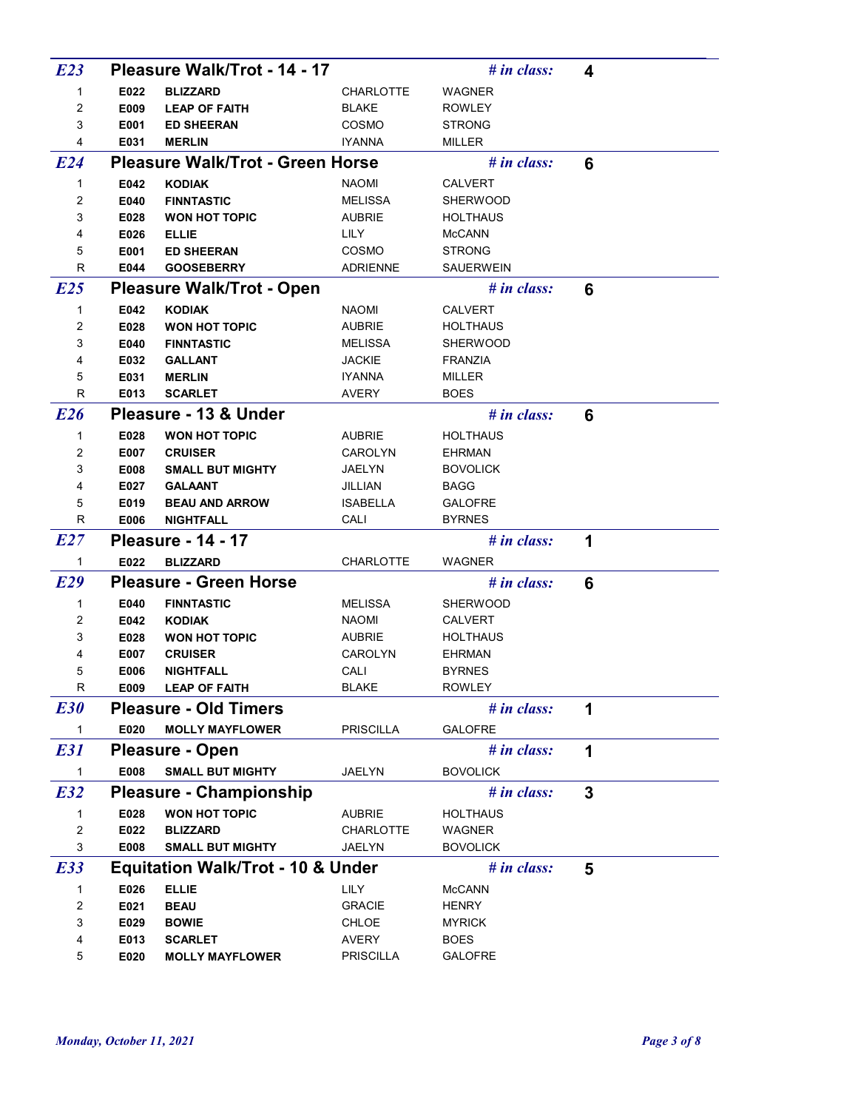| E23                       |                          | Pleasure Walk/Trot - 14 - 17                 |                  | $#$ in class:   | 4 |             |
|---------------------------|--------------------------|----------------------------------------------|------------------|-----------------|---|-------------|
| 1                         | E022                     | <b>BLIZZARD</b>                              | CHARLOTTE        | WAGNER          |   |             |
| $\overline{\mathbf{c}}$   | E009                     | <b>LEAP OF FAITH</b>                         | <b>BLAKE</b>     | <b>ROWLEY</b>   |   |             |
| $\ensuremath{\mathsf{3}}$ | E001                     | <b>ED SHEERAN</b>                            | COSMO            | <b>STRONG</b>   |   |             |
| 4                         | E031                     | <b>MERLIN</b>                                | <b>IYANNA</b>    | MILLER          |   |             |
| E24                       |                          | <b>Pleasure Walk/Trot - Green Horse</b>      |                  | $#$ in class:   | 6 |             |
| 1                         | E042                     | <b>KODIAK</b>                                | <b>NAOMI</b>     | <b>CALVERT</b>  |   |             |
| 2                         | E040                     | <b>FINNTASTIC</b>                            | <b>MELISSA</b>   | SHERWOOD        |   |             |
| 3                         | E028                     | <b>WON HOT TOPIC</b>                         | <b>AUBRIE</b>    | <b>HOLTHAUS</b> |   |             |
| 4                         | E026                     | <b>ELLIE</b>                                 | LILY             | <b>McCANN</b>   |   |             |
| 5                         | E001                     | <b>ED SHEERAN</b>                            | COSMO            | <b>STRONG</b>   |   |             |
| R                         | E044                     | <b>GOOSEBERRY</b>                            | ADRIENNE         | SAUERWEIN       |   |             |
| E25                       |                          | <b>Pleasure Walk/Trot - Open</b>             |                  | $#$ in class:   | 6 |             |
| 1                         | E042                     | <b>KODIAK</b>                                | <b>NAOMI</b>     | CALVERT         |   |             |
| 2                         | E028                     | <b>WON HOT TOPIC</b>                         | <b>AUBRIE</b>    | <b>HOLTHAUS</b> |   |             |
| 3                         | E040                     | <b>FINNTASTIC</b>                            | <b>MELISSA</b>   | SHERWOOD        |   |             |
| 4                         | E032                     | <b>GALLANT</b>                               | <b>JACKIE</b>    | FRANZIA         |   |             |
| 5                         | E031                     | <b>MERLIN</b>                                | <b>IYANNA</b>    | MILLER          |   |             |
| ${\sf R}$                 | E013                     | <b>SCARLET</b>                               | <b>AVERY</b>     | <b>BOES</b>     |   |             |
| E26                       |                          | Pleasure - 13 & Under                        |                  | $#$ in class:   | 6 |             |
| 1                         | E028                     | <b>WON HOT TOPIC</b>                         | <b>AUBRIE</b>    | <b>HOLTHAUS</b> |   |             |
| 2                         | E007                     | <b>CRUISER</b>                               | CAROLYN          | <b>EHRMAN</b>   |   |             |
| 3                         | E008                     | <b>SMALL BUT MIGHTY</b>                      | JAELYN           | <b>BOVOLICK</b> |   |             |
| 4                         | E027                     | <b>GALAANT</b>                               | JILLIAN          | BAGG            |   |             |
| 5                         | E019                     | <b>BEAU AND ARROW</b>                        | ISABELLA         | GALOFRE         |   |             |
| R                         | <b>E006</b>              | <b>NIGHTFALL</b>                             | CALI             | <b>BYRNES</b>   |   |             |
|                           |                          |                                              |                  |                 |   |             |
| E27                       |                          | <b>Pleasure - 14 - 17</b>                    |                  | $#$ in class:   | 1 |             |
| $\overline{1}$            | E022                     | <b>BLIZZARD</b>                              | CHARLOTTE        | WAGNER          |   |             |
| E29                       |                          | <b>Pleasure - Green Horse</b>                |                  | $#$ in class:   | 6 |             |
| 1                         | E040                     | <b>FINNTASTIC</b>                            | <b>MELISSA</b>   | SHERWOOD        |   |             |
| 2                         | E042                     | <b>KODIAK</b>                                | <b>NAOMI</b>     | <b>CALVERT</b>  |   |             |
| 3                         | E028                     | <b>WON HOT TOPIC</b>                         | <b>AUBRIE</b>    | <b>HOLTHAUS</b> |   |             |
| 4                         | E007                     | <b>CRUISER</b>                               | CAROLYN          | <b>EHRMAN</b>   |   |             |
| 5                         | E006                     | <b>NIGHTFALL</b>                             | CALI             | <b>BYRNES</b>   |   |             |
| R                         | E009                     | <b>LEAP OF FAITH</b>                         | <b>BLAKE</b>     | <b>ROWLEY</b>   |   |             |
| <b>E30</b>                |                          | <b>Pleasure - Old Timers</b>                 |                  | $#$ in class:   | 1 |             |
| $\overline{1}$            | E020                     | <b>MOLLY MAYFLOWER</b>                       | <b>PRISCILLA</b> | GALOFRE         |   |             |
| <b>E31</b>                |                          | <b>Pleasure - Open</b>                       |                  | $#$ in class:   | 1 |             |
| $\overline{1}$            | E008                     | <b>SMALL BUT MIGHTY</b>                      | JAELYN           | <b>BOVOLICK</b> |   |             |
| <b>E32</b>                |                          | <b>Pleasure - Championship</b>               |                  | $#$ in class:   | 3 |             |
| 1                         | E028                     | <b>WON HOT TOPIC</b>                         | <b>AUBRIE</b>    | <b>HOLTHAUS</b> |   |             |
| $\overline{\mathbf{c}}$   | E022                     | <b>BLIZZARD</b>                              | CHARLOTTE        | WAGNER          |   |             |
| $\ensuremath{\mathsf{3}}$ | E008                     | <b>SMALL BUT MIGHTY</b>                      | JAELYN           | <b>BOVOLICK</b> |   |             |
| <b>E33</b>                |                          | <b>Equitation Walk/Trot - 10 &amp; Under</b> |                  | $#$ in class:   | 5 |             |
| 1                         | E026                     | <b>ELLIE</b>                                 | LILY             | <b>McCANN</b>   |   |             |
| $\overline{\mathbf{c}}$   | E021                     | <b>BEAU</b>                                  | <b>GRACIE</b>    | <b>HENRY</b>    |   |             |
| 3                         | E029                     | <b>BOWIE</b>                                 | CHLOE            | <b>MYRICK</b>   |   |             |
| 4                         | E013                     | <b>SCARLET</b>                               | AVERY            | <b>BOES</b>     |   |             |
| 5                         | E020                     | <b>MOLLY MAYFLOWER</b>                       | PRISCILLA        | GALOFRE         |   |             |
|                           |                          |                                              |                  |                 |   |             |
|                           | Monday, October 11, 2021 |                                              |                  |                 |   | Page 3 of 8 |
|                           |                          |                                              |                  |                 |   |             |
|                           |                          |                                              |                  |                 |   |             |
|                           |                          |                                              |                  |                 |   |             |
|                           |                          |                                              |                  |                 |   |             |
|                           |                          |                                              |                  |                 |   |             |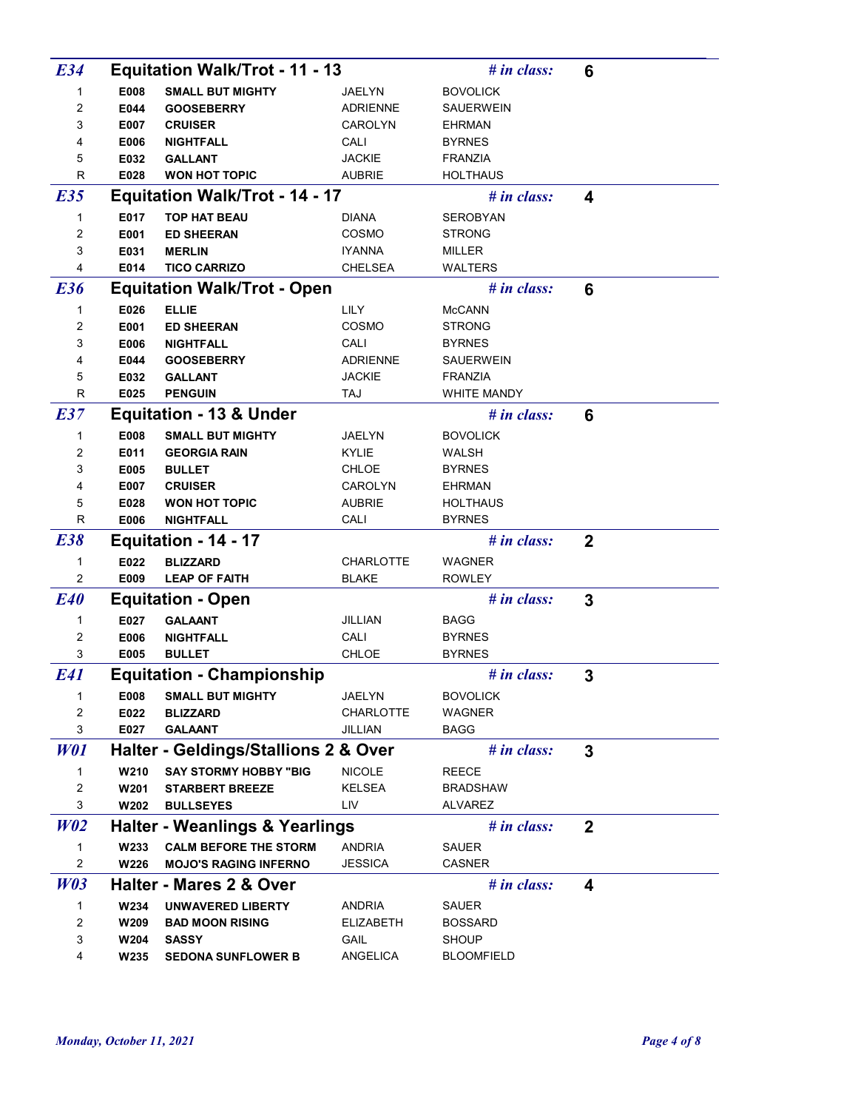| <b>E34</b>                |                          | <b>Equitation Walk/Trot - 11 - 13</b>     |                                | $#$ in class:                     | 6            |             |
|---------------------------|--------------------------|-------------------------------------------|--------------------------------|-----------------------------------|--------------|-------------|
| 1                         | E008                     | <b>SMALL BUT MIGHTY</b>                   | JAELYN                         | <b>BOVOLICK</b>                   |              |             |
| $\overline{\mathbf{c}}$   | E044                     | <b>GOOSEBERRY</b>                         | ADRIENNE                       | SAUERWEIN                         |              |             |
| 3                         | E007                     | <b>CRUISER</b>                            | CAROLYN                        | <b>EHRMAN</b>                     |              |             |
| 4                         | E006                     | <b>NIGHTFALL</b><br><b>GALLANT</b>        | CALI                           | <b>BYRNES</b>                     |              |             |
| 5<br>${\sf R}$            | E032<br>E028             | <b>WON HOT TOPIC</b>                      | <b>JACKIE</b><br><b>AUBRIE</b> | <b>FRANZIA</b><br><b>HOLTHAUS</b> |              |             |
| <b>E35</b>                |                          | <b>Equitation Walk/Trot - 14 - 17</b>     |                                | $#$ in class:                     | 4            |             |
|                           |                          |                                           |                                |                                   |              |             |
| 1<br>$\boldsymbol{2}$     | E017<br>E001             | <b>TOP HAT BEAU</b>                       | <b>DIANA</b><br>COSMO          | <b>SEROBYAN</b><br><b>STRONG</b>  |              |             |
| 3                         | E031                     | <b>ED SHEERAN</b><br><b>MERLIN</b>        | <b>IYANNA</b>                  | MILLER                            |              |             |
| 4                         | E014                     | <b>TICO CARRIZO</b>                       | CHELSEA                        | WALTERS                           |              |             |
| <b>E36</b>                |                          | <b>Equitation Walk/Trot - Open</b>        |                                | $#$ in class:                     | 6            |             |
| 1                         | E026                     | <b>ELLIE</b>                              | LILY                           | <b>McCANN</b>                     |              |             |
| $\overline{\mathbf{c}}$   | E001                     | <b>ED SHEERAN</b>                         | COSMO                          | <b>STRONG</b>                     |              |             |
| 3                         | E006                     | <b>NIGHTFALL</b>                          | CALI                           | <b>BYRNES</b>                     |              |             |
| 4                         | E044                     | <b>GOOSEBERRY</b>                         | ADRIENNE                       | SAUERWEIN                         |              |             |
| 5                         | E032                     | <b>GALLANT</b>                            | <b>JACKIE</b>                  | <b>FRANZIA</b>                    |              |             |
| ${\sf R}$                 | E025                     | <b>PENGUIN</b>                            | TAJ                            | <b>WHITE MANDY</b>                |              |             |
| <b>E37</b>                |                          | <b>Equitation - 13 &amp; Under</b>        |                                | $#$ in class:                     | 6            |             |
| $\mathbf{1}$              | E008                     | <b>SMALL BUT MIGHTY</b>                   | <b>JAELYN</b>                  | <b>BOVOLICK</b>                   |              |             |
| 2                         | E011                     | <b>GEORGIA RAIN</b>                       | KYLIE                          | WALSH                             |              |             |
| $\ensuremath{\mathsf{3}}$ | E005                     | <b>BULLET</b>                             | CHLOE                          | <b>BYRNES</b>                     |              |             |
| 4                         | E007                     | <b>CRUISER</b>                            | CAROLYN                        | <b>EHRMAN</b>                     |              |             |
| 5                         | E028                     | <b>WON HOT TOPIC</b>                      | <b>AUBRIE</b>                  | <b>HOLTHAUS</b>                   |              |             |
| ${\sf R}$                 | E006                     | <b>NIGHTFALL</b>                          | CALI                           | <b>BYRNES</b>                     |              |             |
| <b>E38</b>                |                          | Equitation - 14 - 17                      |                                | $#$ in class:                     | $\mathbf{2}$ |             |
| $\overline{1}$            | E022                     | <b>BLIZZARD</b>                           | CHARLOTTE                      | WAGNER                            |              |             |
| 2                         | E009                     | <b>LEAP OF FAITH</b>                      | <b>BLAKE</b>                   | <b>ROWLEY</b>                     |              |             |
| <b>E40</b>                |                          | <b>Equitation - Open</b>                  |                                | $#$ in class:                     | 3            |             |
| $\mathbf{1}$              | E027                     | <b>GALAANT</b>                            | JILLIAN                        | <b>BAGG</b>                       |              |             |
| $\overline{\mathbf{c}}$   | E006                     | <b>NIGHTFALL</b>                          | CALI                           | <b>BYRNES</b>                     |              |             |
| 3                         | E005                     | <b>BULLET</b>                             | CHLOE                          | <b>BYRNES</b>                     |              |             |
| E41                       |                          | <b>Equitation - Championship</b>          |                                | $#$ in class:                     | 3            |             |
| 1                         | E008                     | <b>SMALL BUT MIGHTY</b>                   | JAELYN                         | <b>BOVOLICK</b>                   |              |             |
| 2                         | E022                     | <b>BLIZZARD</b>                           | CHARLOTTE                      | WAGNER                            |              |             |
| 3                         | E027                     | <b>GALAANT</b>                            | JILLIAN                        | <b>BAGG</b>                       |              |             |
| <b>W01</b>                |                          | Halter - Geldings/Stallions 2 & Over      |                                | $#$ in class:                     | 3            |             |
| 1                         | W210                     | <b>SAY STORMY HOBBY "BIG</b>              | <b>NICOLE</b>                  | <b>REECE</b>                      |              |             |
| $\overline{\mathbf{c}}$   | W201                     | <b>STARBERT BREEZE</b>                    | KELSEA                         | <b>BRADSHAW</b>                   |              |             |
| 3                         | <b>W202</b>              | <b>BULLSEYES</b>                          | LIV                            | ALVAREZ                           |              |             |
| W02                       |                          | <b>Halter - Weanlings &amp; Yearlings</b> |                                | $#$ in class:                     | $\mathbf{2}$ |             |
| $\mathbf{1}$              | W233                     | <b>CALM BEFORE THE STORM</b>              | <b>ANDRIA</b>                  | SAUER                             |              |             |
| 2                         | <b>W226</b>              | <b>MOJO'S RAGING INFERNO</b>              | <b>JESSICA</b>                 | CASNER                            |              |             |
| W03                       |                          | <b>Halter - Mares 2 &amp; Over</b>        |                                | $#$ in class:                     | 4            |             |
| 1                         | W234                     | <b>UNWAVERED LIBERTY</b>                  | <b>ANDRIA</b>                  | SAUER                             |              |             |
| 2                         | W209                     | <b>BAD MOON RISING</b>                    | <b>ELIZABETH</b>               | <b>BOSSARD</b>                    |              |             |
| 3                         | <b>W204</b>              | <b>SASSY</b>                              | GAIL                           | <b>SHOUP</b>                      |              |             |
| 4                         | W235                     | <b>SEDONA SUNFLOWER B</b>                 | ANGELICA                       | <b>BLOOMFIELD</b>                 |              |             |
|                           | Monday, October 11, 2021 |                                           |                                |                                   |              | Page 4 of 8 |
|                           |                          |                                           |                                |                                   |              |             |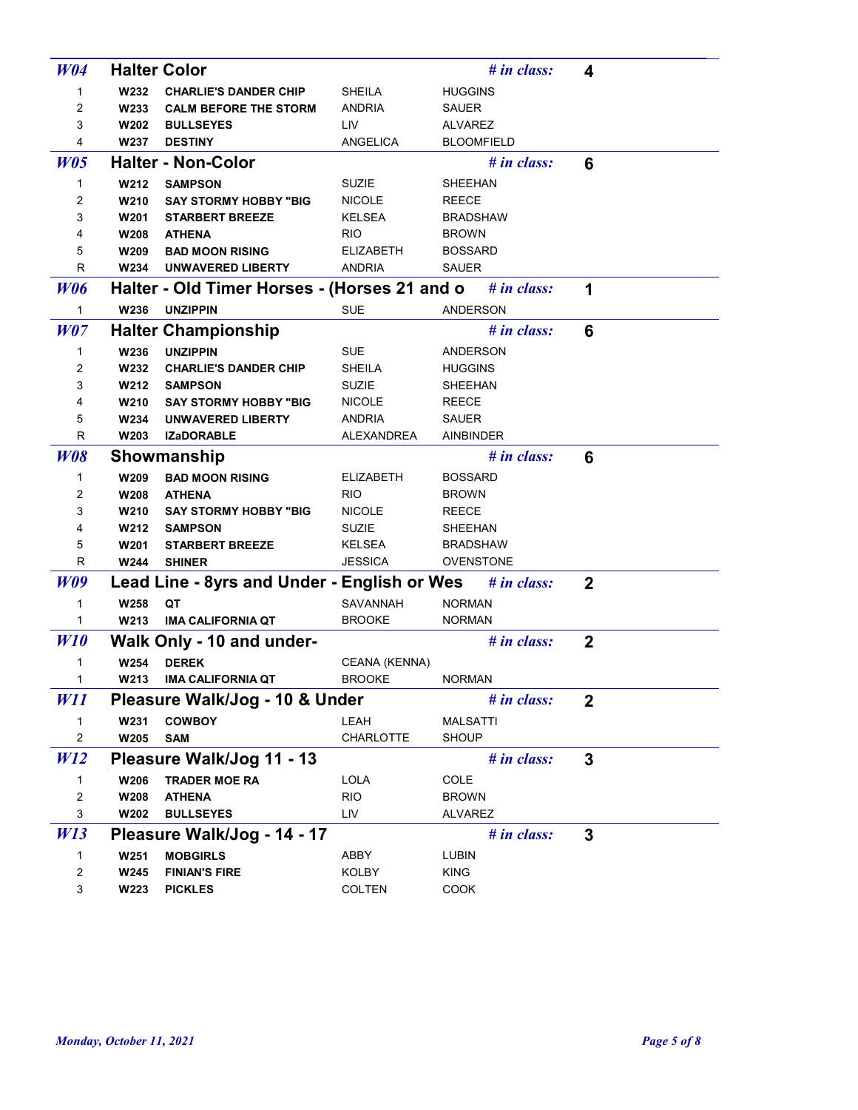| <b>W04</b>                |                          | <b>Halter Color</b>                                             |                               |                   | $#$ in class: | 4                |             |
|---------------------------|--------------------------|-----------------------------------------------------------------|-------------------------------|-------------------|---------------|------------------|-------------|
| 1                         | <b>W232</b>              | <b>CHARLIE'S DANDER CHIP</b>                                    | <b>SHEILA</b>                 | <b>HUGGINS</b>    |               |                  |             |
| 2                         | W233                     | <b>CALM BEFORE THE STORM</b>                                    | <b>ANDRIA</b>                 | SAUER             |               |                  |             |
| 3                         | W202                     | <b>BULLSEYES</b>                                                | LIV                           | ALVAREZ           |               |                  |             |
| $\overline{\mathbf{4}}$   | W237                     | <b>DESTINY</b>                                                  | <b>ANGELICA</b>               | <b>BLOOMFIELD</b> |               |                  |             |
| W05                       |                          | <b>Halter - Non-Color</b>                                       |                               |                   | $#$ in class: | 6                |             |
| $\mathbf{1}$<br>2         | W210                     | W212 SAMPSON<br><b>SAY STORMY HOBBY "BIG</b>                    | <b>SUZIE</b><br><b>NICOLE</b> | SHEEHAN<br>REECE  |               |                  |             |
| 3                         | <b>W201</b>              | <b>STARBERT BREEZE</b>                                          | <b>KELSEA</b>                 | <b>BRADSHAW</b>   |               |                  |             |
| 4                         | <b>W208</b>              | <b>ATHENA</b>                                                   | RIO.                          | <b>BROWN</b>      |               |                  |             |
| 5                         | W209                     | <b>BAD MOON RISING</b>                                          | <b>ELIZABETH</b>              | <b>BOSSARD</b>    |               |                  |             |
| R                         | <b>W234</b>              | UNWAVERED LIBERTY                                               | <b>ANDRIA</b>                 | SAUER             |               |                  |             |
| <b>W06</b>                |                          | Halter - Old Timer Horses - (Horses 21 and o # <i>in class:</i> |                               |                   |               | 1                |             |
| $\mathbf{1}$              | <b>W236</b>              | <b>UNZIPPIN</b>                                                 | <b>SUE</b>                    | ANDERSON          |               |                  |             |
| <b>W07</b>                |                          | <b>Halter Championship</b>                                      |                               |                   | $#$ in class: | 6                |             |
| $\mathbf{1}$              | <b>W236</b>              | <b>UNZIPPIN</b>                                                 | <b>SUE</b>                    | ANDERSON          |               |                  |             |
| 2                         | W232                     | <b>CHARLIE'S DANDER CHIP</b>                                    | <b>SHEILA</b>                 | <b>HUGGINS</b>    |               |                  |             |
| 3                         | W212                     | <b>SAMPSON</b>                                                  | SUZIE                         | SHEEHAN           |               |                  |             |
| 4                         | W210                     | <b>SAY STORMY HOBBY "BIG</b>                                    | <b>NICOLE</b>                 | <b>REECE</b>      |               |                  |             |
| 5                         | W234                     | <b>UNWAVERED LIBERTY</b>                                        | <b>ANDRIA</b>                 | <b>SAUER</b>      |               |                  |             |
| R                         | W203                     | <b>IZaDORABLE</b>                                               | ALEXANDREA                    | AINBINDER         |               |                  |             |
| <b>W08</b>                |                          | Showmanship                                                     |                               |                   | $#$ in class: | 6                |             |
| $\mathbf{1}$              | W209                     | <b>BAD MOON RISING</b>                                          | <b>ELIZABETH</b>              | <b>BOSSARD</b>    |               |                  |             |
| 2                         | W208                     | <b>ATHENA</b>                                                   | RIO.                          | <b>BROWN</b>      |               |                  |             |
| 3                         | W210                     | <b>SAY STORMY HOBBY "BIG</b>                                    | <b>NICOLE</b>                 | REECE             |               |                  |             |
| 4                         | W212                     | <b>SAMPSON</b>                                                  | SUZIE                         | SHEEHAN           |               |                  |             |
| 5                         | W201                     | <b>STARBERT BREEZE</b>                                          | KELSEA                        | <b>BRADSHAW</b>   |               |                  |             |
| ${\sf R}$                 | <b>W244</b>              | <b>SHINER</b>                                                   | <b>JESSICA</b>                | OVENSTONE         |               |                  |             |
| <b>W09</b>                |                          | Lead Line - 8yrs and Under - English or Wes # in class:         |                               |                   |               | $\boldsymbol{2}$ |             |
| $\mathbf{1}$              | <b>W258</b>              | QT                                                              | SAVANNAH                      | <b>NORMAN</b>     |               |                  |             |
| $\mathbf{1}$              | W213                     | IMA CALIFORNIA QT                                               | <b>BROOKE</b>                 | <b>NORMAN</b>     |               |                  |             |
| W10                       |                          | Walk Only - 10 and under-                                       |                               |                   | $#$ in class: | $\mathbf{2}$     |             |
| $\mathbf 1$               | <b>W254</b>              | <b>DEREK</b>                                                    | CEANA (KENNA)                 |                   |               |                  |             |
| $\mathbf{1}$              | W213                     | <b>IMA CALIFORNIA QT</b>                                        | <b>BROOKE</b>                 | <b>NORMAN</b>     |               |                  |             |
| W11                       |                          | Pleasure Walk/Jog - 10 & Under                                  |                               |                   | $#$ in class: | $\mathbf{2}$     |             |
| $\mathbf{1}$              | W231                     | <b>COWBOY</b>                                                   | LEAH                          | MALSATTI          |               |                  |             |
| $\overline{\mathbf{c}}$   | <b>W205</b>              | <b>SAM</b>                                                      | CHARLOTTE                     | <b>SHOUP</b>      |               |                  |             |
| W12                       |                          | Pleasure Walk/Jog 11 - 13                                       |                               |                   | $#$ in class: | 3                |             |
| $\mathbf{1}$              | <b>W206</b>              | <b>TRADER MOE RA</b>                                            | LOLA                          | COLE              |               |                  |             |
| $\overline{\mathbf{c}}$   | <b>W208</b>              | <b>ATHENA</b>                                                   | <b>RIO</b>                    | <b>BROWN</b>      |               |                  |             |
| $\mathsf 3$               | <b>W202</b>              | <b>BULLSEYES</b>                                                | LIV                           | ALVAREZ           |               |                  |             |
| W13                       |                          | Pleasure Walk/Jog - 14 - 17                                     |                               |                   | $#$ in class: | 3                |             |
| $\mathbf{1}$              | <b>W251</b>              | <b>MOBGIRLS</b>                                                 | ABBY                          | LUBIN             |               |                  |             |
| $\overline{\mathbf{c}}$   | <b>W245</b>              | <b>FINIAN'S FIRE</b>                                            | KOLBY                         | <b>KING</b>       |               |                  |             |
| $\ensuremath{\mathsf{3}}$ | W223                     | <b>PICKLES</b>                                                  | <b>COLTEN</b>                 | COOK              |               |                  |             |
|                           |                          |                                                                 |                               |                   |               |                  |             |
|                           |                          |                                                                 |                               |                   |               |                  |             |
|                           |                          |                                                                 |                               |                   |               |                  |             |
|                           |                          |                                                                 |                               |                   |               |                  |             |
|                           |                          |                                                                 |                               |                   |               |                  |             |
|                           |                          |                                                                 |                               |                   |               |                  |             |
|                           |                          |                                                                 |                               |                   |               |                  |             |
|                           | Monday, October 11, 2021 |                                                                 |                               |                   |               |                  | Page 5 of 8 |
|                           |                          |                                                                 |                               |                   |               |                  |             |
|                           |                          |                                                                 |                               |                   |               |                  |             |
|                           |                          |                                                                 |                               |                   |               |                  |             |
|                           |                          |                                                                 |                               |                   |               |                  |             |
|                           |                          |                                                                 |                               |                   |               |                  |             |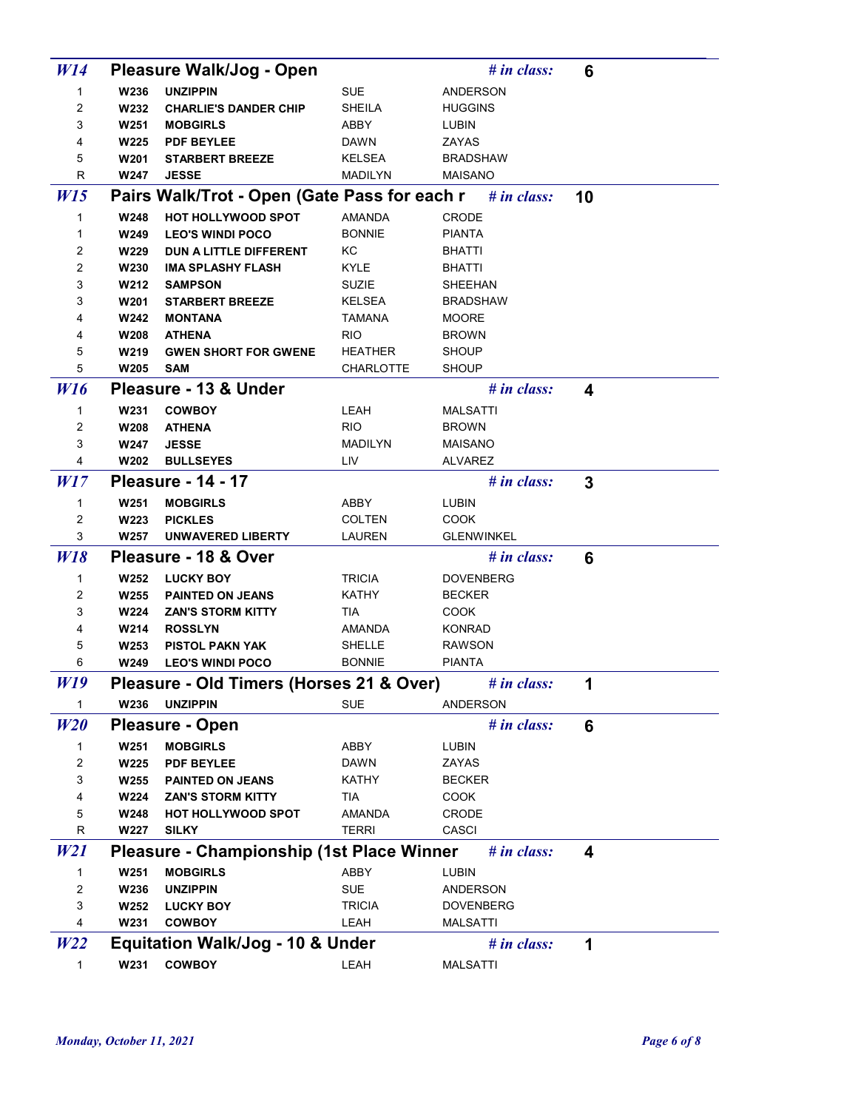| W236<br>UNZIPPIN<br><b>SUE</b><br>ANDERSON<br>1<br>$\overline{c}$<br>W232<br><b>CHARLIE'S DANDER CHIP</b><br><b>SHEILA</b><br><b>HUGGINS</b><br>3<br>ABBY<br><b>MOBGIRLS</b><br>LUBIN<br>W251<br>DAWN<br>ZAYAS<br>4<br><b>PDF BEYLEE</b><br>W225<br>5<br>KELSEA<br><b>BRADSHAW</b><br><b>STARBERT BREEZE</b><br>W201<br>R<br>MADILYN<br><b>W247</b><br><b>JESSE</b><br>MAISANO<br>Pairs Walk/Trot - Open (Gate Pass for each r # in class:<br>W15<br>10<br>CRODE<br><b>HOT HOLLYWOOD SPOT</b><br>AMANDA<br>W248<br>1<br><b>PIANTA</b><br><b>BONNIE</b><br><b>W249</b><br><b>LEO'S WINDI POCO</b><br>1<br>2<br>KC<br><b>BHATTI</b><br>DUN A LITTLE DIFFERENT<br>W229<br>2<br>KYLE<br><b>BHATTI</b><br><b>IMA SPLASHY FLASH</b><br>W230<br>3<br>SUZIE<br>SHEEHAN<br>W212<br><b>SAMPSON</b><br>3<br>KELSEA<br><b>STARBERT BREEZE</b><br><b>BRADSHAW</b><br>W201<br><b>MOORE</b><br>4<br>W242<br><b>MONTANA</b><br>TAMANA<br><b>RIO</b><br><b>BROWN</b><br>4<br><b>ATHENA</b><br>W208<br>W219<br><b>GWEN SHORT FOR GWENE</b><br><b>HEATHER</b><br><b>SHOUP</b><br>5<br>5<br>W205 SAM<br>CHARLOTTE<br><b>SHOUP</b><br><b>W16</b><br>Pleasure - 13 & Under<br>$#$ in class:<br>4<br>W231 COWBOY<br>LEAH<br><b>MALSATTI</b><br>1<br><b>ATHENA</b><br>2<br>W208<br><b>RIO</b><br><b>BROWN</b><br>3<br><b>JESSE</b><br><b>W247</b><br><b>MADILYN</b><br><b>MAISANO</b><br>4<br><b>W202</b><br><b>BULLSEYES</b><br>LIV<br>ALVAREZ<br>W17<br><b>Pleasure - 14 - 17</b><br>$#$ in class:<br>3<br>W251 MOBGIRLS<br>ABBY<br><b>LUBIN</b><br>1<br>COOK<br>2<br><b>PICKLES</b><br><b>COLTEN</b><br><b>W223</b><br>3<br>W257 UNWAVERED LIBERTY<br><b>LAUREN</b><br><b>GLENWINKEL</b><br>W18<br>Pleasure - 18 & Over<br>$#$ in class:<br>6<br>W252 LUCKY BOY<br><b>TRICIA</b><br><b>DOVENBERG</b><br>1<br>KATHY<br>2<br><b>PAINTED ON JEANS</b><br><b>BECKER</b><br>W255<br>3<br>COOK<br><b>W224</b><br><b>ZAN'S STORM KITTY</b><br>TIA<br>AMANDA<br><b>KONRAD</b><br>4<br>W214<br><b>ROSSLYN</b><br><b>SHELLE</b><br><b>RAWSON</b><br>5<br>W253<br>PISTOL PAKN YAK<br><b>PIANTA</b><br>6<br><b>BONNIE</b><br><b>W249</b><br><b>LEO'S WINDI POCO</b><br>W19<br>Pleasure - Old Timers (Horses 21 & Over)<br>$#$ in class:<br>1<br><b>SUE</b><br>ANDERSON<br>W236 UNZIPPIN<br>$\mathbf{1}$<br>W20<br><b>Pleasure - Open</b><br>$#$ in class:<br>6<br>W251 MOBGIRLS<br>ABBY<br>LUBIN<br>1<br><b>DAWN</b><br>ZAYAS<br>2<br><b>W225</b><br><b>PDF BEYLEE</b><br>3<br>KATHY<br><b>PAINTED ON JEANS</b><br><b>BECKER</b><br>W255<br>4<br><b>ZAN'S STORM KITTY</b><br>TIA<br>COOK<br><b>W224</b><br><b>AMANDA</b><br>CRODE<br>5<br><b>W248</b><br><b>HOT HOLLYWOOD SPOT</b><br>R<br><b>TERRI</b><br>CASCI<br>W227 SILKY<br>W21<br>Pleasure - Championship (1st Place Winner<br>$#$ in class:<br>4<br>W251 MOBGIRLS<br>LUBIN<br>ABBY<br>1<br>W236<br><b>UNZIPPIN</b><br><b>SUE</b><br>ANDERSON<br>2<br>3<br><b>LUCKY BOY</b><br><b>TRICIA</b><br><b>W252</b><br><b>DOVENBERG</b><br>4<br>W231 COWBOY<br>LEAH<br><b>MALSATTI</b><br><b>Equitation Walk/Jog - 10 &amp; Under</b><br>W22<br>$#$ in class:<br>1 |
|----------------------------------------------------------------------------------------------------------------------------------------------------------------------------------------------------------------------------------------------------------------------------------------------------------------------------------------------------------------------------------------------------------------------------------------------------------------------------------------------------------------------------------------------------------------------------------------------------------------------------------------------------------------------------------------------------------------------------------------------------------------------------------------------------------------------------------------------------------------------------------------------------------------------------------------------------------------------------------------------------------------------------------------------------------------------------------------------------------------------------------------------------------------------------------------------------------------------------------------------------------------------------------------------------------------------------------------------------------------------------------------------------------------------------------------------------------------------------------------------------------------------------------------------------------------------------------------------------------------------------------------------------------------------------------------------------------------------------------------------------------------------------------------------------------------------------------------------------------------------------------------------------------------------------------------------------------------------------------------------------------------------------------------------------------------------------------------------------------------------------------------------------------------------------------------------------------------------------------------------------------------------------------------------------------------------------------------------------------------------------------------------------------------------------------------------------------------------------------------------------------------------------------------------------------------------------------------------------------------------------------------------------------------------------------------------------------------------------------------------------------------------------------------------------------------------------------------------------------------------------------------------------------------------------------------------------------------------------------------------------------------------------------------------------------------------------------|
|                                                                                                                                                                                                                                                                                                                                                                                                                                                                                                                                                                                                                                                                                                                                                                                                                                                                                                                                                                                                                                                                                                                                                                                                                                                                                                                                                                                                                                                                                                                                                                                                                                                                                                                                                                                                                                                                                                                                                                                                                                                                                                                                                                                                                                                                                                                                                                                                                                                                                                                                                                                                                                                                                                                                                                                                                                                                                                                                                                                                                                                                                  |
|                                                                                                                                                                                                                                                                                                                                                                                                                                                                                                                                                                                                                                                                                                                                                                                                                                                                                                                                                                                                                                                                                                                                                                                                                                                                                                                                                                                                                                                                                                                                                                                                                                                                                                                                                                                                                                                                                                                                                                                                                                                                                                                                                                                                                                                                                                                                                                                                                                                                                                                                                                                                                                                                                                                                                                                                                                                                                                                                                                                                                                                                                  |
|                                                                                                                                                                                                                                                                                                                                                                                                                                                                                                                                                                                                                                                                                                                                                                                                                                                                                                                                                                                                                                                                                                                                                                                                                                                                                                                                                                                                                                                                                                                                                                                                                                                                                                                                                                                                                                                                                                                                                                                                                                                                                                                                                                                                                                                                                                                                                                                                                                                                                                                                                                                                                                                                                                                                                                                                                                                                                                                                                                                                                                                                                  |
|                                                                                                                                                                                                                                                                                                                                                                                                                                                                                                                                                                                                                                                                                                                                                                                                                                                                                                                                                                                                                                                                                                                                                                                                                                                                                                                                                                                                                                                                                                                                                                                                                                                                                                                                                                                                                                                                                                                                                                                                                                                                                                                                                                                                                                                                                                                                                                                                                                                                                                                                                                                                                                                                                                                                                                                                                                                                                                                                                                                                                                                                                  |
|                                                                                                                                                                                                                                                                                                                                                                                                                                                                                                                                                                                                                                                                                                                                                                                                                                                                                                                                                                                                                                                                                                                                                                                                                                                                                                                                                                                                                                                                                                                                                                                                                                                                                                                                                                                                                                                                                                                                                                                                                                                                                                                                                                                                                                                                                                                                                                                                                                                                                                                                                                                                                                                                                                                                                                                                                                                                                                                                                                                                                                                                                  |
|                                                                                                                                                                                                                                                                                                                                                                                                                                                                                                                                                                                                                                                                                                                                                                                                                                                                                                                                                                                                                                                                                                                                                                                                                                                                                                                                                                                                                                                                                                                                                                                                                                                                                                                                                                                                                                                                                                                                                                                                                                                                                                                                                                                                                                                                                                                                                                                                                                                                                                                                                                                                                                                                                                                                                                                                                                                                                                                                                                                                                                                                                  |
|                                                                                                                                                                                                                                                                                                                                                                                                                                                                                                                                                                                                                                                                                                                                                                                                                                                                                                                                                                                                                                                                                                                                                                                                                                                                                                                                                                                                                                                                                                                                                                                                                                                                                                                                                                                                                                                                                                                                                                                                                                                                                                                                                                                                                                                                                                                                                                                                                                                                                                                                                                                                                                                                                                                                                                                                                                                                                                                                                                                                                                                                                  |
|                                                                                                                                                                                                                                                                                                                                                                                                                                                                                                                                                                                                                                                                                                                                                                                                                                                                                                                                                                                                                                                                                                                                                                                                                                                                                                                                                                                                                                                                                                                                                                                                                                                                                                                                                                                                                                                                                                                                                                                                                                                                                                                                                                                                                                                                                                                                                                                                                                                                                                                                                                                                                                                                                                                                                                                                                                                                                                                                                                                                                                                                                  |
|                                                                                                                                                                                                                                                                                                                                                                                                                                                                                                                                                                                                                                                                                                                                                                                                                                                                                                                                                                                                                                                                                                                                                                                                                                                                                                                                                                                                                                                                                                                                                                                                                                                                                                                                                                                                                                                                                                                                                                                                                                                                                                                                                                                                                                                                                                                                                                                                                                                                                                                                                                                                                                                                                                                                                                                                                                                                                                                                                                                                                                                                                  |
|                                                                                                                                                                                                                                                                                                                                                                                                                                                                                                                                                                                                                                                                                                                                                                                                                                                                                                                                                                                                                                                                                                                                                                                                                                                                                                                                                                                                                                                                                                                                                                                                                                                                                                                                                                                                                                                                                                                                                                                                                                                                                                                                                                                                                                                                                                                                                                                                                                                                                                                                                                                                                                                                                                                                                                                                                                                                                                                                                                                                                                                                                  |
|                                                                                                                                                                                                                                                                                                                                                                                                                                                                                                                                                                                                                                                                                                                                                                                                                                                                                                                                                                                                                                                                                                                                                                                                                                                                                                                                                                                                                                                                                                                                                                                                                                                                                                                                                                                                                                                                                                                                                                                                                                                                                                                                                                                                                                                                                                                                                                                                                                                                                                                                                                                                                                                                                                                                                                                                                                                                                                                                                                                                                                                                                  |
|                                                                                                                                                                                                                                                                                                                                                                                                                                                                                                                                                                                                                                                                                                                                                                                                                                                                                                                                                                                                                                                                                                                                                                                                                                                                                                                                                                                                                                                                                                                                                                                                                                                                                                                                                                                                                                                                                                                                                                                                                                                                                                                                                                                                                                                                                                                                                                                                                                                                                                                                                                                                                                                                                                                                                                                                                                                                                                                                                                                                                                                                                  |
|                                                                                                                                                                                                                                                                                                                                                                                                                                                                                                                                                                                                                                                                                                                                                                                                                                                                                                                                                                                                                                                                                                                                                                                                                                                                                                                                                                                                                                                                                                                                                                                                                                                                                                                                                                                                                                                                                                                                                                                                                                                                                                                                                                                                                                                                                                                                                                                                                                                                                                                                                                                                                                                                                                                                                                                                                                                                                                                                                                                                                                                                                  |
|                                                                                                                                                                                                                                                                                                                                                                                                                                                                                                                                                                                                                                                                                                                                                                                                                                                                                                                                                                                                                                                                                                                                                                                                                                                                                                                                                                                                                                                                                                                                                                                                                                                                                                                                                                                                                                                                                                                                                                                                                                                                                                                                                                                                                                                                                                                                                                                                                                                                                                                                                                                                                                                                                                                                                                                                                                                                                                                                                                                                                                                                                  |
|                                                                                                                                                                                                                                                                                                                                                                                                                                                                                                                                                                                                                                                                                                                                                                                                                                                                                                                                                                                                                                                                                                                                                                                                                                                                                                                                                                                                                                                                                                                                                                                                                                                                                                                                                                                                                                                                                                                                                                                                                                                                                                                                                                                                                                                                                                                                                                                                                                                                                                                                                                                                                                                                                                                                                                                                                                                                                                                                                                                                                                                                                  |
|                                                                                                                                                                                                                                                                                                                                                                                                                                                                                                                                                                                                                                                                                                                                                                                                                                                                                                                                                                                                                                                                                                                                                                                                                                                                                                                                                                                                                                                                                                                                                                                                                                                                                                                                                                                                                                                                                                                                                                                                                                                                                                                                                                                                                                                                                                                                                                                                                                                                                                                                                                                                                                                                                                                                                                                                                                                                                                                                                                                                                                                                                  |
|                                                                                                                                                                                                                                                                                                                                                                                                                                                                                                                                                                                                                                                                                                                                                                                                                                                                                                                                                                                                                                                                                                                                                                                                                                                                                                                                                                                                                                                                                                                                                                                                                                                                                                                                                                                                                                                                                                                                                                                                                                                                                                                                                                                                                                                                                                                                                                                                                                                                                                                                                                                                                                                                                                                                                                                                                                                                                                                                                                                                                                                                                  |
|                                                                                                                                                                                                                                                                                                                                                                                                                                                                                                                                                                                                                                                                                                                                                                                                                                                                                                                                                                                                                                                                                                                                                                                                                                                                                                                                                                                                                                                                                                                                                                                                                                                                                                                                                                                                                                                                                                                                                                                                                                                                                                                                                                                                                                                                                                                                                                                                                                                                                                                                                                                                                                                                                                                                                                                                                                                                                                                                                                                                                                                                                  |
|                                                                                                                                                                                                                                                                                                                                                                                                                                                                                                                                                                                                                                                                                                                                                                                                                                                                                                                                                                                                                                                                                                                                                                                                                                                                                                                                                                                                                                                                                                                                                                                                                                                                                                                                                                                                                                                                                                                                                                                                                                                                                                                                                                                                                                                                                                                                                                                                                                                                                                                                                                                                                                                                                                                                                                                                                                                                                                                                                                                                                                                                                  |
|                                                                                                                                                                                                                                                                                                                                                                                                                                                                                                                                                                                                                                                                                                                                                                                                                                                                                                                                                                                                                                                                                                                                                                                                                                                                                                                                                                                                                                                                                                                                                                                                                                                                                                                                                                                                                                                                                                                                                                                                                                                                                                                                                                                                                                                                                                                                                                                                                                                                                                                                                                                                                                                                                                                                                                                                                                                                                                                                                                                                                                                                                  |
|                                                                                                                                                                                                                                                                                                                                                                                                                                                                                                                                                                                                                                                                                                                                                                                                                                                                                                                                                                                                                                                                                                                                                                                                                                                                                                                                                                                                                                                                                                                                                                                                                                                                                                                                                                                                                                                                                                                                                                                                                                                                                                                                                                                                                                                                                                                                                                                                                                                                                                                                                                                                                                                                                                                                                                                                                                                                                                                                                                                                                                                                                  |
|                                                                                                                                                                                                                                                                                                                                                                                                                                                                                                                                                                                                                                                                                                                                                                                                                                                                                                                                                                                                                                                                                                                                                                                                                                                                                                                                                                                                                                                                                                                                                                                                                                                                                                                                                                                                                                                                                                                                                                                                                                                                                                                                                                                                                                                                                                                                                                                                                                                                                                                                                                                                                                                                                                                                                                                                                                                                                                                                                                                                                                                                                  |
|                                                                                                                                                                                                                                                                                                                                                                                                                                                                                                                                                                                                                                                                                                                                                                                                                                                                                                                                                                                                                                                                                                                                                                                                                                                                                                                                                                                                                                                                                                                                                                                                                                                                                                                                                                                                                                                                                                                                                                                                                                                                                                                                                                                                                                                                                                                                                                                                                                                                                                                                                                                                                                                                                                                                                                                                                                                                                                                                                                                                                                                                                  |
|                                                                                                                                                                                                                                                                                                                                                                                                                                                                                                                                                                                                                                                                                                                                                                                                                                                                                                                                                                                                                                                                                                                                                                                                                                                                                                                                                                                                                                                                                                                                                                                                                                                                                                                                                                                                                                                                                                                                                                                                                                                                                                                                                                                                                                                                                                                                                                                                                                                                                                                                                                                                                                                                                                                                                                                                                                                                                                                                                                                                                                                                                  |
|                                                                                                                                                                                                                                                                                                                                                                                                                                                                                                                                                                                                                                                                                                                                                                                                                                                                                                                                                                                                                                                                                                                                                                                                                                                                                                                                                                                                                                                                                                                                                                                                                                                                                                                                                                                                                                                                                                                                                                                                                                                                                                                                                                                                                                                                                                                                                                                                                                                                                                                                                                                                                                                                                                                                                                                                                                                                                                                                                                                                                                                                                  |
|                                                                                                                                                                                                                                                                                                                                                                                                                                                                                                                                                                                                                                                                                                                                                                                                                                                                                                                                                                                                                                                                                                                                                                                                                                                                                                                                                                                                                                                                                                                                                                                                                                                                                                                                                                                                                                                                                                                                                                                                                                                                                                                                                                                                                                                                                                                                                                                                                                                                                                                                                                                                                                                                                                                                                                                                                                                                                                                                                                                                                                                                                  |
|                                                                                                                                                                                                                                                                                                                                                                                                                                                                                                                                                                                                                                                                                                                                                                                                                                                                                                                                                                                                                                                                                                                                                                                                                                                                                                                                                                                                                                                                                                                                                                                                                                                                                                                                                                                                                                                                                                                                                                                                                                                                                                                                                                                                                                                                                                                                                                                                                                                                                                                                                                                                                                                                                                                                                                                                                                                                                                                                                                                                                                                                                  |
|                                                                                                                                                                                                                                                                                                                                                                                                                                                                                                                                                                                                                                                                                                                                                                                                                                                                                                                                                                                                                                                                                                                                                                                                                                                                                                                                                                                                                                                                                                                                                                                                                                                                                                                                                                                                                                                                                                                                                                                                                                                                                                                                                                                                                                                                                                                                                                                                                                                                                                                                                                                                                                                                                                                                                                                                                                                                                                                                                                                                                                                                                  |
|                                                                                                                                                                                                                                                                                                                                                                                                                                                                                                                                                                                                                                                                                                                                                                                                                                                                                                                                                                                                                                                                                                                                                                                                                                                                                                                                                                                                                                                                                                                                                                                                                                                                                                                                                                                                                                                                                                                                                                                                                                                                                                                                                                                                                                                                                                                                                                                                                                                                                                                                                                                                                                                                                                                                                                                                                                                                                                                                                                                                                                                                                  |
|                                                                                                                                                                                                                                                                                                                                                                                                                                                                                                                                                                                                                                                                                                                                                                                                                                                                                                                                                                                                                                                                                                                                                                                                                                                                                                                                                                                                                                                                                                                                                                                                                                                                                                                                                                                                                                                                                                                                                                                                                                                                                                                                                                                                                                                                                                                                                                                                                                                                                                                                                                                                                                                                                                                                                                                                                                                                                                                                                                                                                                                                                  |
|                                                                                                                                                                                                                                                                                                                                                                                                                                                                                                                                                                                                                                                                                                                                                                                                                                                                                                                                                                                                                                                                                                                                                                                                                                                                                                                                                                                                                                                                                                                                                                                                                                                                                                                                                                                                                                                                                                                                                                                                                                                                                                                                                                                                                                                                                                                                                                                                                                                                                                                                                                                                                                                                                                                                                                                                                                                                                                                                                                                                                                                                                  |
|                                                                                                                                                                                                                                                                                                                                                                                                                                                                                                                                                                                                                                                                                                                                                                                                                                                                                                                                                                                                                                                                                                                                                                                                                                                                                                                                                                                                                                                                                                                                                                                                                                                                                                                                                                                                                                                                                                                                                                                                                                                                                                                                                                                                                                                                                                                                                                                                                                                                                                                                                                                                                                                                                                                                                                                                                                                                                                                                                                                                                                                                                  |
|                                                                                                                                                                                                                                                                                                                                                                                                                                                                                                                                                                                                                                                                                                                                                                                                                                                                                                                                                                                                                                                                                                                                                                                                                                                                                                                                                                                                                                                                                                                                                                                                                                                                                                                                                                                                                                                                                                                                                                                                                                                                                                                                                                                                                                                                                                                                                                                                                                                                                                                                                                                                                                                                                                                                                                                                                                                                                                                                                                                                                                                                                  |
|                                                                                                                                                                                                                                                                                                                                                                                                                                                                                                                                                                                                                                                                                                                                                                                                                                                                                                                                                                                                                                                                                                                                                                                                                                                                                                                                                                                                                                                                                                                                                                                                                                                                                                                                                                                                                                                                                                                                                                                                                                                                                                                                                                                                                                                                                                                                                                                                                                                                                                                                                                                                                                                                                                                                                                                                                                                                                                                                                                                                                                                                                  |
|                                                                                                                                                                                                                                                                                                                                                                                                                                                                                                                                                                                                                                                                                                                                                                                                                                                                                                                                                                                                                                                                                                                                                                                                                                                                                                                                                                                                                                                                                                                                                                                                                                                                                                                                                                                                                                                                                                                                                                                                                                                                                                                                                                                                                                                                                                                                                                                                                                                                                                                                                                                                                                                                                                                                                                                                                                                                                                                                                                                                                                                                                  |
|                                                                                                                                                                                                                                                                                                                                                                                                                                                                                                                                                                                                                                                                                                                                                                                                                                                                                                                                                                                                                                                                                                                                                                                                                                                                                                                                                                                                                                                                                                                                                                                                                                                                                                                                                                                                                                                                                                                                                                                                                                                                                                                                                                                                                                                                                                                                                                                                                                                                                                                                                                                                                                                                                                                                                                                                                                                                                                                                                                                                                                                                                  |
|                                                                                                                                                                                                                                                                                                                                                                                                                                                                                                                                                                                                                                                                                                                                                                                                                                                                                                                                                                                                                                                                                                                                                                                                                                                                                                                                                                                                                                                                                                                                                                                                                                                                                                                                                                                                                                                                                                                                                                                                                                                                                                                                                                                                                                                                                                                                                                                                                                                                                                                                                                                                                                                                                                                                                                                                                                                                                                                                                                                                                                                                                  |
|                                                                                                                                                                                                                                                                                                                                                                                                                                                                                                                                                                                                                                                                                                                                                                                                                                                                                                                                                                                                                                                                                                                                                                                                                                                                                                                                                                                                                                                                                                                                                                                                                                                                                                                                                                                                                                                                                                                                                                                                                                                                                                                                                                                                                                                                                                                                                                                                                                                                                                                                                                                                                                                                                                                                                                                                                                                                                                                                                                                                                                                                                  |
|                                                                                                                                                                                                                                                                                                                                                                                                                                                                                                                                                                                                                                                                                                                                                                                                                                                                                                                                                                                                                                                                                                                                                                                                                                                                                                                                                                                                                                                                                                                                                                                                                                                                                                                                                                                                                                                                                                                                                                                                                                                                                                                                                                                                                                                                                                                                                                                                                                                                                                                                                                                                                                                                                                                                                                                                                                                                                                                                                                                                                                                                                  |
|                                                                                                                                                                                                                                                                                                                                                                                                                                                                                                                                                                                                                                                                                                                                                                                                                                                                                                                                                                                                                                                                                                                                                                                                                                                                                                                                                                                                                                                                                                                                                                                                                                                                                                                                                                                                                                                                                                                                                                                                                                                                                                                                                                                                                                                                                                                                                                                                                                                                                                                                                                                                                                                                                                                                                                                                                                                                                                                                                                                                                                                                                  |
|                                                                                                                                                                                                                                                                                                                                                                                                                                                                                                                                                                                                                                                                                                                                                                                                                                                                                                                                                                                                                                                                                                                                                                                                                                                                                                                                                                                                                                                                                                                                                                                                                                                                                                                                                                                                                                                                                                                                                                                                                                                                                                                                                                                                                                                                                                                                                                                                                                                                                                                                                                                                                                                                                                                                                                                                                                                                                                                                                                                                                                                                                  |
|                                                                                                                                                                                                                                                                                                                                                                                                                                                                                                                                                                                                                                                                                                                                                                                                                                                                                                                                                                                                                                                                                                                                                                                                                                                                                                                                                                                                                                                                                                                                                                                                                                                                                                                                                                                                                                                                                                                                                                                                                                                                                                                                                                                                                                                                                                                                                                                                                                                                                                                                                                                                                                                                                                                                                                                                                                                                                                                                                                                                                                                                                  |
|                                                                                                                                                                                                                                                                                                                                                                                                                                                                                                                                                                                                                                                                                                                                                                                                                                                                                                                                                                                                                                                                                                                                                                                                                                                                                                                                                                                                                                                                                                                                                                                                                                                                                                                                                                                                                                                                                                                                                                                                                                                                                                                                                                                                                                                                                                                                                                                                                                                                                                                                                                                                                                                                                                                                                                                                                                                                                                                                                                                                                                                                                  |
|                                                                                                                                                                                                                                                                                                                                                                                                                                                                                                                                                                                                                                                                                                                                                                                                                                                                                                                                                                                                                                                                                                                                                                                                                                                                                                                                                                                                                                                                                                                                                                                                                                                                                                                                                                                                                                                                                                                                                                                                                                                                                                                                                                                                                                                                                                                                                                                                                                                                                                                                                                                                                                                                                                                                                                                                                                                                                                                                                                                                                                                                                  |
|                                                                                                                                                                                                                                                                                                                                                                                                                                                                                                                                                                                                                                                                                                                                                                                                                                                                                                                                                                                                                                                                                                                                                                                                                                                                                                                                                                                                                                                                                                                                                                                                                                                                                                                                                                                                                                                                                                                                                                                                                                                                                                                                                                                                                                                                                                                                                                                                                                                                                                                                                                                                                                                                                                                                                                                                                                                                                                                                                                                                                                                                                  |
|                                                                                                                                                                                                                                                                                                                                                                                                                                                                                                                                                                                                                                                                                                                                                                                                                                                                                                                                                                                                                                                                                                                                                                                                                                                                                                                                                                                                                                                                                                                                                                                                                                                                                                                                                                                                                                                                                                                                                                                                                                                                                                                                                                                                                                                                                                                                                                                                                                                                                                                                                                                                                                                                                                                                                                                                                                                                                                                                                                                                                                                                                  |
|                                                                                                                                                                                                                                                                                                                                                                                                                                                                                                                                                                                                                                                                                                                                                                                                                                                                                                                                                                                                                                                                                                                                                                                                                                                                                                                                                                                                                                                                                                                                                                                                                                                                                                                                                                                                                                                                                                                                                                                                                                                                                                                                                                                                                                                                                                                                                                                                                                                                                                                                                                                                                                                                                                                                                                                                                                                                                                                                                                                                                                                                                  |
|                                                                                                                                                                                                                                                                                                                                                                                                                                                                                                                                                                                                                                                                                                                                                                                                                                                                                                                                                                                                                                                                                                                                                                                                                                                                                                                                                                                                                                                                                                                                                                                                                                                                                                                                                                                                                                                                                                                                                                                                                                                                                                                                                                                                                                                                                                                                                                                                                                                                                                                                                                                                                                                                                                                                                                                                                                                                                                                                                                                                                                                                                  |
|                                                                                                                                                                                                                                                                                                                                                                                                                                                                                                                                                                                                                                                                                                                                                                                                                                                                                                                                                                                                                                                                                                                                                                                                                                                                                                                                                                                                                                                                                                                                                                                                                                                                                                                                                                                                                                                                                                                                                                                                                                                                                                                                                                                                                                                                                                                                                                                                                                                                                                                                                                                                                                                                                                                                                                                                                                                                                                                                                                                                                                                                                  |
|                                                                                                                                                                                                                                                                                                                                                                                                                                                                                                                                                                                                                                                                                                                                                                                                                                                                                                                                                                                                                                                                                                                                                                                                                                                                                                                                                                                                                                                                                                                                                                                                                                                                                                                                                                                                                                                                                                                                                                                                                                                                                                                                                                                                                                                                                                                                                                                                                                                                                                                                                                                                                                                                                                                                                                                                                                                                                                                                                                                                                                                                                  |
|                                                                                                                                                                                                                                                                                                                                                                                                                                                                                                                                                                                                                                                                                                                                                                                                                                                                                                                                                                                                                                                                                                                                                                                                                                                                                                                                                                                                                                                                                                                                                                                                                                                                                                                                                                                                                                                                                                                                                                                                                                                                                                                                                                                                                                                                                                                                                                                                                                                                                                                                                                                                                                                                                                                                                                                                                                                                                                                                                                                                                                                                                  |
|                                                                                                                                                                                                                                                                                                                                                                                                                                                                                                                                                                                                                                                                                                                                                                                                                                                                                                                                                                                                                                                                                                                                                                                                                                                                                                                                                                                                                                                                                                                                                                                                                                                                                                                                                                                                                                                                                                                                                                                                                                                                                                                                                                                                                                                                                                                                                                                                                                                                                                                                                                                                                                                                                                                                                                                                                                                                                                                                                                                                                                                                                  |
| W231 COWBOY<br>LEAH<br><b>MALSATTI</b><br>$\mathbf 1$                                                                                                                                                                                                                                                                                                                                                                                                                                                                                                                                                                                                                                                                                                                                                                                                                                                                                                                                                                                                                                                                                                                                                                                                                                                                                                                                                                                                                                                                                                                                                                                                                                                                                                                                                                                                                                                                                                                                                                                                                                                                                                                                                                                                                                                                                                                                                                                                                                                                                                                                                                                                                                                                                                                                                                                                                                                                                                                                                                                                                            |
| Monday, October 11, 2021<br>Page 6 of 8                                                                                                                                                                                                                                                                                                                                                                                                                                                                                                                                                                                                                                                                                                                                                                                                                                                                                                                                                                                                                                                                                                                                                                                                                                                                                                                                                                                                                                                                                                                                                                                                                                                                                                                                                                                                                                                                                                                                                                                                                                                                                                                                                                                                                                                                                                                                                                                                                                                                                                                                                                                                                                                                                                                                                                                                                                                                                                                                                                                                                                          |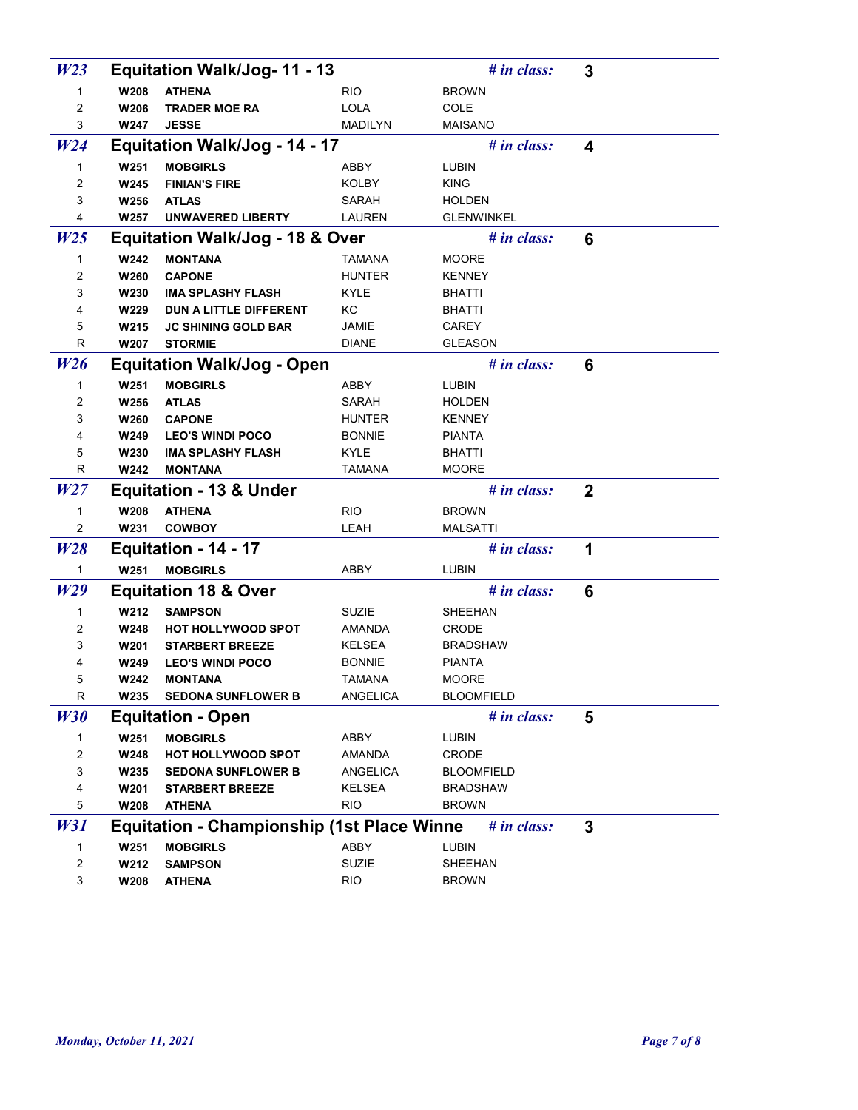| W23            |                          | <b>Equitation Walk/Jog-11 - 13</b>                |                       | $#$ in class:                 | 3                |             |
|----------------|--------------------------|---------------------------------------------------|-----------------------|-------------------------------|------------------|-------------|
| $\mathbf{1}$   | <b>W208</b>              | <b>ATHENA</b>                                     | <b>RIO</b>            | <b>BROWN</b>                  |                  |             |
| $\overline{2}$ | <b>W206</b>              | <b>TRADER MOE RA</b>                              | <b>LOLA</b>           | COLE                          |                  |             |
| 3              | <b>W247</b>              | <b>JESSE</b>                                      | <b>MADILYN</b>        | MAISANO                       |                  |             |
| W24            |                          | Equitation Walk/Jog - 14 - 17                     |                       | $#$ in class:                 | 4                |             |
| $\mathbf{1}$   | <b>W251</b>              | <b>MOBGIRLS</b>                                   | ABBY                  | LUBIN                         |                  |             |
| 2              | <b>W245</b>              | <b>FINIAN'S FIRE</b>                              | KOLBY                 | <b>KING</b>                   |                  |             |
| 3              | <b>W256</b>              | <b>ATLAS</b>                                      | SARAH                 | <b>HOLDEN</b>                 |                  |             |
| 4              | W257                     | <b>UNWAVERED LIBERTY</b>                          | LAUREN                | <b>GLENWINKEL</b>             |                  |             |
| W25            |                          | <b>Equitation Walk/Jog - 18 &amp; Over</b>        |                       | $#$ in class:                 | 6                |             |
| 1              | <b>W242</b>              | <b>MONTANA</b>                                    | <b>TAMANA</b>         | MOORE                         |                  |             |
| 2              | <b>W260</b>              | <b>CAPONE</b>                                     | <b>HUNTER</b>         | <b>KENNEY</b>                 |                  |             |
| 3              | <b>W230</b>              | <b>IMA SPLASHY FLASH</b>                          | KYLE                  | <b>BHATTI</b>                 |                  |             |
| 4              | <b>W229</b>              | DUN A LITTLE DIFFERENT                            | KC                    | <b>BHATTI</b>                 |                  |             |
| 5              | W215                     | <b>JC SHINING GOLD BAR</b>                        | <b>JAMIE</b>          | <b>CAREY</b>                  |                  |             |
| R              | <b>W207</b>              | <b>STORMIE</b>                                    | <b>DIANE</b>          | <b>GLEASON</b>                |                  |             |
| W26            |                          | <b>Equitation Walk/Jog - Open</b>                 |                       | $#$ in class:                 | 6                |             |
| 1              | <b>W251</b>              | <b>MOBGIRLS</b>                                   | ABBY                  | LUBIN                         |                  |             |
| 2              | <b>W256</b>              | <b>ATLAS</b>                                      | <b>SARAH</b>          | <b>HOLDEN</b>                 |                  |             |
| 3              | <b>W260</b>              | <b>CAPONE</b>                                     | <b>HUNTER</b>         | <b>KENNEY</b>                 |                  |             |
| 4              | <b>W249</b>              | <b>LEO'S WINDI POCO</b>                           | <b>BONNIE</b>         | <b>PIANTA</b>                 |                  |             |
| 5<br>R         | W230<br><b>W242</b>      | <b>IMA SPLASHY FLASH</b><br><b>MONTANA</b>        | KYLE<br><b>TAMANA</b> | <b>BHATTI</b><br><b>MOORE</b> |                  |             |
|                |                          |                                                   |                       |                               |                  |             |
| W27            |                          | <b>Equitation - 13 &amp; Under</b>                |                       | $#$ in class:                 | $\boldsymbol{2}$ |             |
| $\mathbf{1}$   | <b>W208</b>              | <b>ATHENA</b>                                     | <b>RIO</b>            | <b>BROWN</b>                  |                  |             |
| $\overline{2}$ | <b>W231</b>              | <b>COWBOY</b>                                     | LEAH                  | <b>MALSATTI</b>               |                  |             |
| W28            |                          | Equitation - 14 - 17                              |                       | $#$ in class:                 | 1                |             |
| $\mathbf{1}$   |                          | W251 MOBGIRLS                                     | ABBY                  | <b>LUBIN</b>                  |                  |             |
| W29            |                          | <b>Equitation 18 &amp; Over</b>                   |                       | $#$ in class:                 | 6                |             |
| $\mathbf{1}$   | W212                     | <b>SAMPSON</b>                                    | SUZIE                 | SHEEHAN                       |                  |             |
| 2              | W248                     | HOT HOLLYWOOD SPOT                                | AMANDA                | CRODE                         |                  |             |
| 3              | <b>W201</b>              | <b>STARBERT BREEZE</b>                            | KELSEA                | <b>BRADSHAW</b>               |                  |             |
| 4              | W249                     | <b>LEO'S WINDI POCO</b>                           | <b>BONNIE</b>         | <b>PIANTA</b>                 |                  |             |
| 5              | <b>W242</b>              | <b>MONTANA</b>                                    | <b>TAMANA</b>         | <b>MOORE</b>                  |                  |             |
| $\mathsf R$    | W235                     | <b>SEDONA SUNFLOWER B</b>                         | <b>ANGELICA</b>       | <b>BLOOMFIELD</b>             |                  |             |
| <b>W30</b>     |                          | <b>Equitation - Open</b>                          |                       | $#$ in class:                 | 5                |             |
| $\mathbf{1}$   | <b>W251</b>              | <b>MOBGIRLS</b>                                   | ABBY                  | LUBIN                         |                  |             |
| 2              | W248                     | HOT HOLLYWOOD SPOT                                | <b>AMANDA</b>         | CRODE                         |                  |             |
| 3              | W235                     | <b>SEDONA SUNFLOWER B</b>                         | ANGELICA              | <b>BLOOMFIELD</b>             |                  |             |
| 4              | <b>W201</b>              | <b>STARBERT BREEZE</b>                            | <b>KELSEA</b>         | <b>BRADSHAW</b>               |                  |             |
| $\,$ 5 $\,$    | <b>W208</b>              | <b>ATHENA</b>                                     | <b>RIO</b>            | <b>BROWN</b>                  |                  |             |
| W31            |                          | <b>Equitation - Championship (1st Place Winne</b> |                       | $#$ in class:                 | 3                |             |
| $\mathbf{1}$   | <b>W251</b>              | <b>MOBGIRLS</b>                                   | ABBY                  | LUBIN                         |                  |             |
| 2              | W212                     | <b>SAMPSON</b>                                    | SUZIE                 | SHEEHAN                       |                  |             |
| 3              | <b>W208</b>              | <b>ATHENA</b>                                     | <b>RIO</b>            | <b>BROWN</b>                  |                  |             |
|                |                          |                                                   |                       |                               |                  |             |
|                |                          |                                                   |                       |                               |                  |             |
|                |                          |                                                   |                       |                               |                  |             |
|                |                          |                                                   |                       |                               |                  |             |
|                |                          |                                                   |                       |                               |                  |             |
|                |                          |                                                   |                       |                               |                  |             |
|                |                          |                                                   |                       |                               |                  |             |
|                |                          |                                                   |                       |                               |                  |             |
|                | Monday, October 11, 2021 |                                                   |                       |                               |                  | Page 7 of 8 |
|                |                          |                                                   |                       |                               |                  |             |
|                |                          |                                                   |                       |                               |                  |             |
|                |                          |                                                   |                       |                               |                  |             |
|                |                          |                                                   |                       |                               |                  |             |